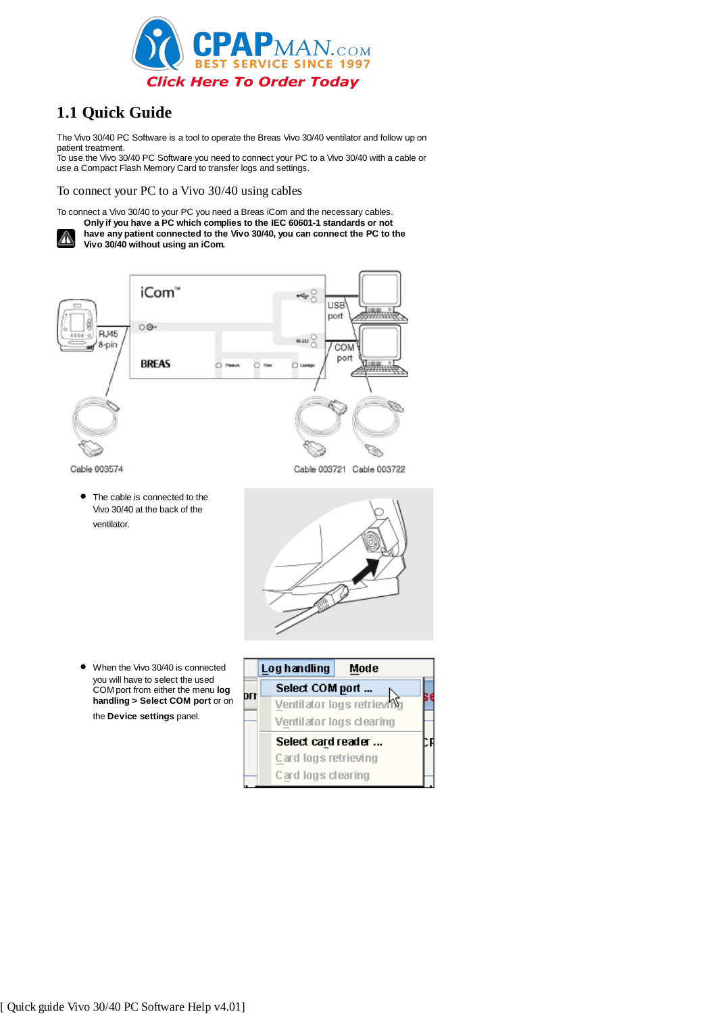

# **1.1 Quick Guide**

The Vivo 30/40 PC Software is a tool to operate the Breas Vivo 30/40 ventilator and follow up on patient treatment.

To use the Vivo 30/40 PC Software you need to connect your PC to a Vivo 30/40 with a cable or use a Compact Flash Memory Card to transfer logs and settings.

To connect your PC to a Vivo 30/40 using cables

To connect a Vivo 30/40 to your PC you need a Breas iCom and the necessary cables.

**Only if you have a PC which complies to the IEC 60601-1 standards or not have any patient connected to the Vivo 30/40, you can connect the PC to the** ⚠ **Vivo 30/40 without using an iCom.**



- 
- When the Vivo 30/40 is connected you will have to select the used COM port from either the menu **log handling > Select COM port** or on the **Device settings** panel.

Vivo 30/40 at the back of the

ventilator.

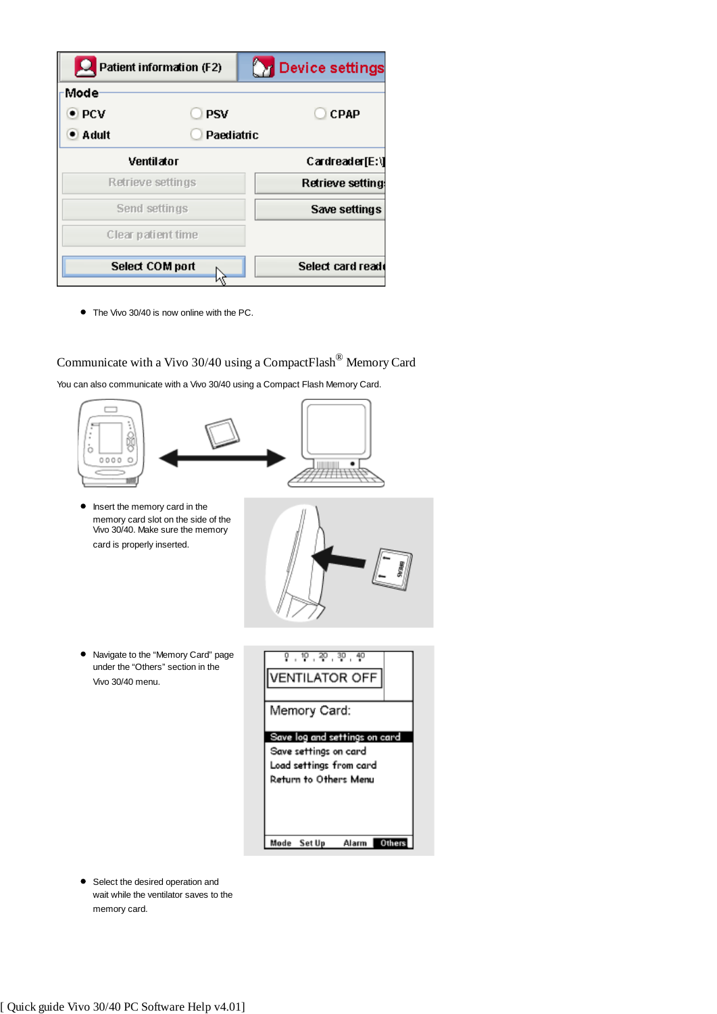|                 | Patient information (F2) | <b>Device settings</b> |
|-----------------|--------------------------|------------------------|
| Mode            |                          |                        |
| $\bullet$ PCV   | <b>PSV</b>               | <b>CPAP</b>            |
| $\bullet$ Adult | Paediatric               |                        |
|                 | Ventilator               | Cardreader[E:\]        |
|                 | Retrieve settings        | Retrieve setting:      |
|                 | Send settings            | Save settings          |
|                 | Clear patient time       |                        |
|                 | <b>Select COM port</b>   | Select card read       |

● The Vivo 30/40 is now online with the PC.

Communicate with a Vivo 30/40 using a CompactFlash® Memory Card

You can also communicate with a Vivo 30/40 using a Compact Flash Memory Card.





• Select the desired operation and wait while the ventilator saves to the memory card.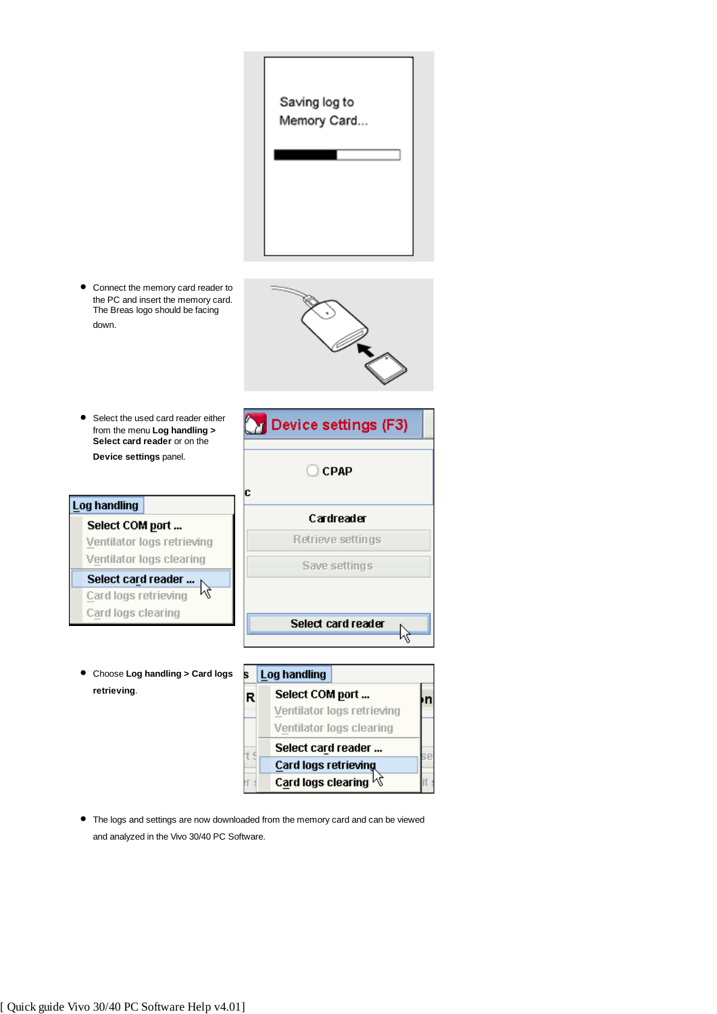

The logs and settings are now downloaded from the memory card and can be viewed and analyzed in the Vivo 30/40 PC Software.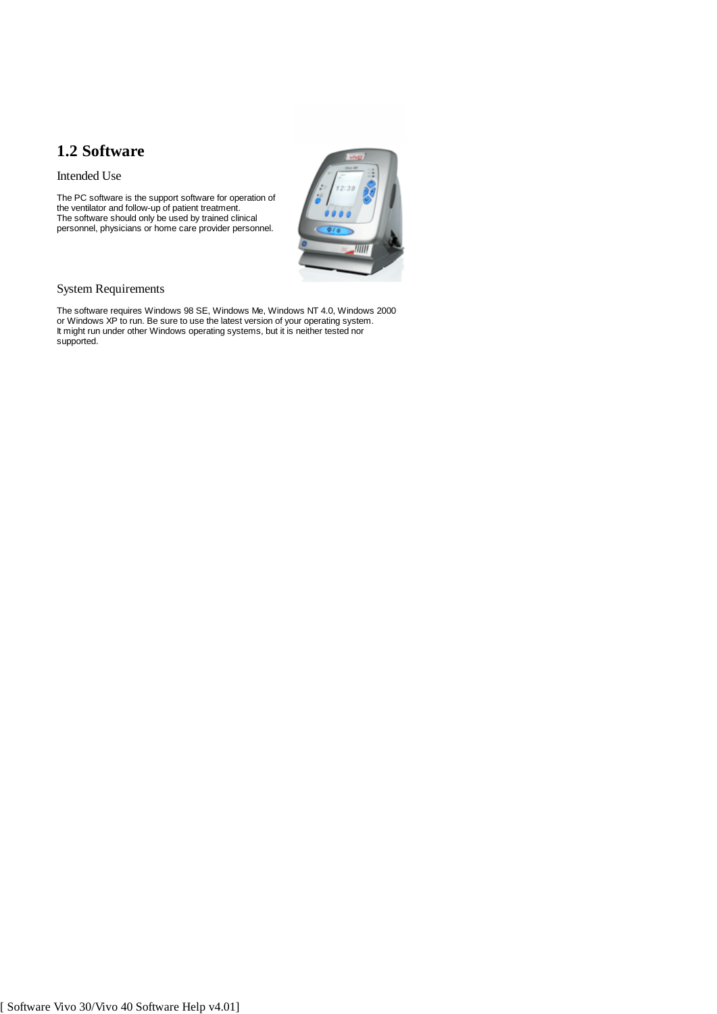# **1.2 Software**

Intended Use

The PC software is the support software for operation of the ventilator and follow-up of patient treatment. The software should only be used by trained clinical personnel, physicians or home care provider personnel.



## System Requirements

The software requires Windows 98 SE, Windows Me, Windows NT 4.0, Windows 2000 or Windows XP to run. Be sure to use the latest version of your operating system. It might run under other Windows operating systems, but it is neither tested nor supported.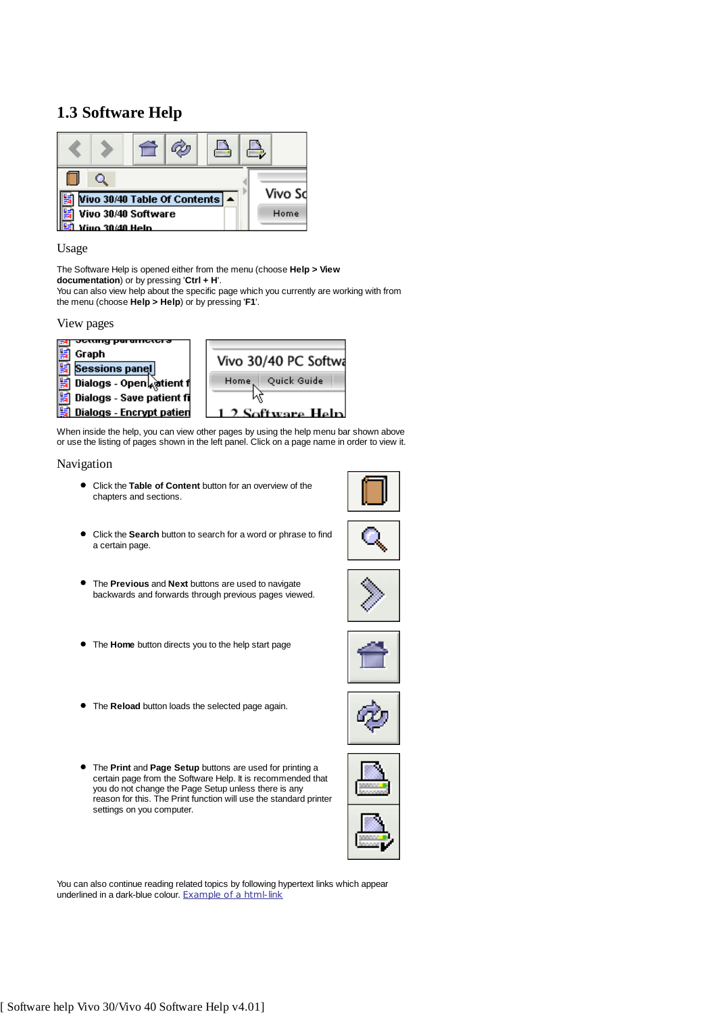# **1.3 Software Help**



Usage

The Software Help is opened either from the menu (choose **Help > View documentation**) or by pressing '**Ctrl + H**'.

You can also view help about the specific page which you currently are working with from the menu (choose **Help > Help**) or by pressing '**F1**'.

#### View pages



When inside the help, you can view other pages by using the help menu bar shown above or use the listing of pages shown in the left panel. Click on a page name in order to view it.

#### Navigation

Click the **Table of Content** button for an overview of the chapters and sections.



- Click the **Search** button to search for a word or phrase to find a certain page.
- The **Previous** and **Next** buttons are used to navigate backwards and forwards through previous pages viewed.
- The **Home** button directs you to the help start page
- The **Reload** button loads the selected page again.
- The **Print** and **Page Setup** buttons are used for printing a certain page from the Software Help. It is recommended that you do not change the Page Setup unless there is any reason for this. The Print function will use the standard printer settings on you computer.





You can also continue reading related topics by following hypertext links which appear underlined in a dark-blue colour. Example of a html-link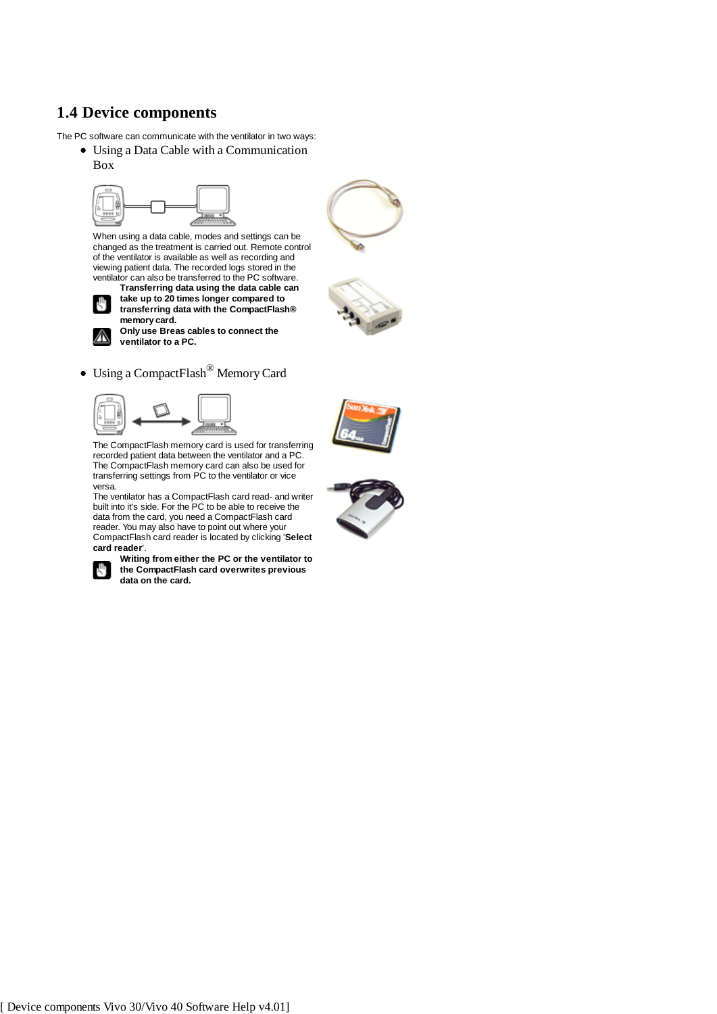# **1.4 Device components**

The PC software can communicate with the ventilator in two ways:

- Using a Data Cable with a Communication
	- Box



When using a data cable, modes and settings can be changed as the treatment is carried out. Remote control of the ventilator is available as well as recording and viewing patient data. The recorded logs stored in the ventilator can also be transferred to the PC software. **Transferring data using the data cable can**



∧

**take up to 20 times longer compared to transferring data with the CompactFlash® memory card. Only use Breas cables to connect the ventilator to a PC.**



Using a CompactFlash® Memory Card





The CompactFlash memory card is used for transferring recorded patient data between the ventilator and a PC. The CompactFlash memory card can also be used for transferring settings from PC to the ventilator or vice versa.

The ventilator has a CompactFlash card read- and writer built into it's side. For the PC to be able to receive the data from the card, you need a CompactFlash card reader. You may also have to point out where your CompactFlash card reader is located by clicking '**Select card reader**'.



**Writing from either the PC or the ventilator to the CompactFlash card overwrites previous data on the card.**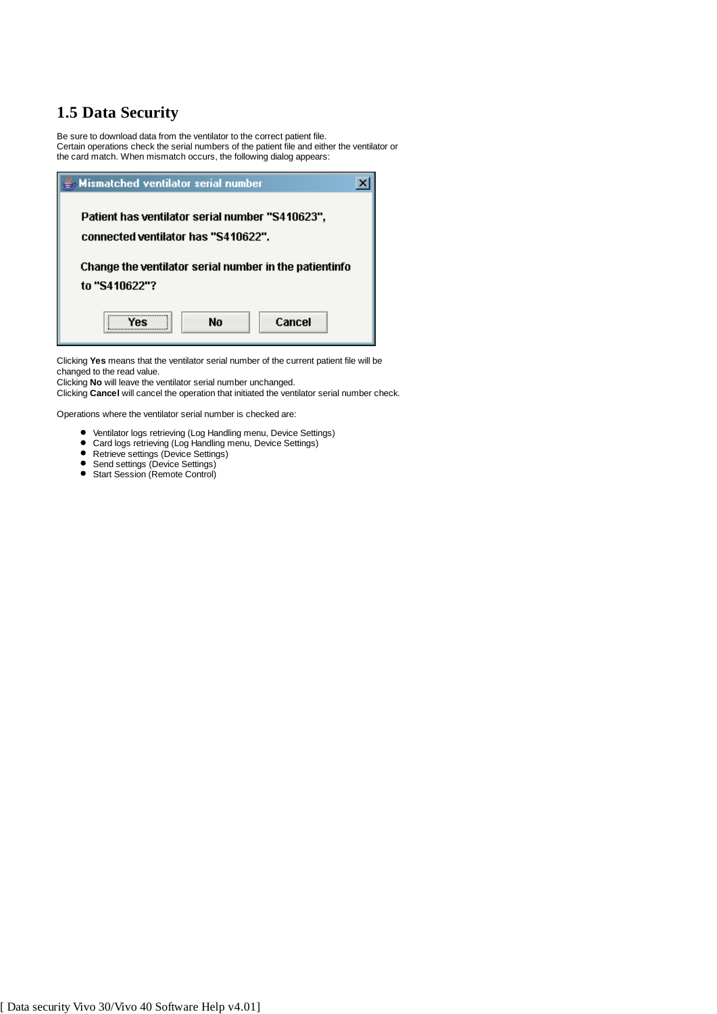# **1.5 Data Security**

Be sure to download data from the ventilator to the correct patient file. Certain operations check the serial numbers of the patient file and either the ventilator or the card match. When mismatch occurs, the following dialog appears:



Clicking **Yes** means that the ventilator serial number of the current patient file will be changed to the read value.

Clicking **No** will leave the ventilator serial number unchanged.

Clicking **Cancel** will cancel the operation that initiated the ventilator serial number check.

Operations where the ventilator serial number is checked are:

- Ventilator logs retrieving (Log Handling menu, Device Settings)
- Card logs retrieving (Log Handling menu, Device Settings)
- Retrieve settings (Device Settings)
- Send settings (Device Settings)
- Start Session (Remote Control)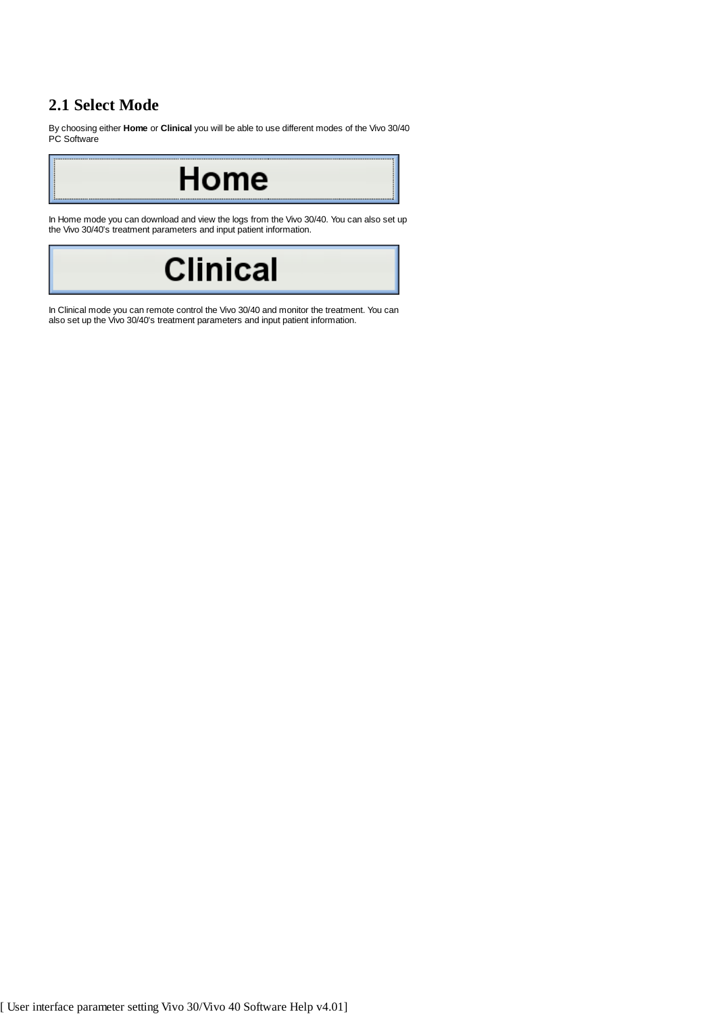# **2.1 Select Mode**

By choosing either **Home** or **Clinical** you will be able to use different modes of the Vivo 30/40 PC Software

Home

In Home mode you can download and view the logs from the Vivo 30/40. You can also set up the Vivo 30/40's treatment parameters and input patient information.



In Clinical mode you can remote control the Vivo 30/40 and monitor the treatment. You can also set up the Vivo 30/40's treatment parameters and input patient information.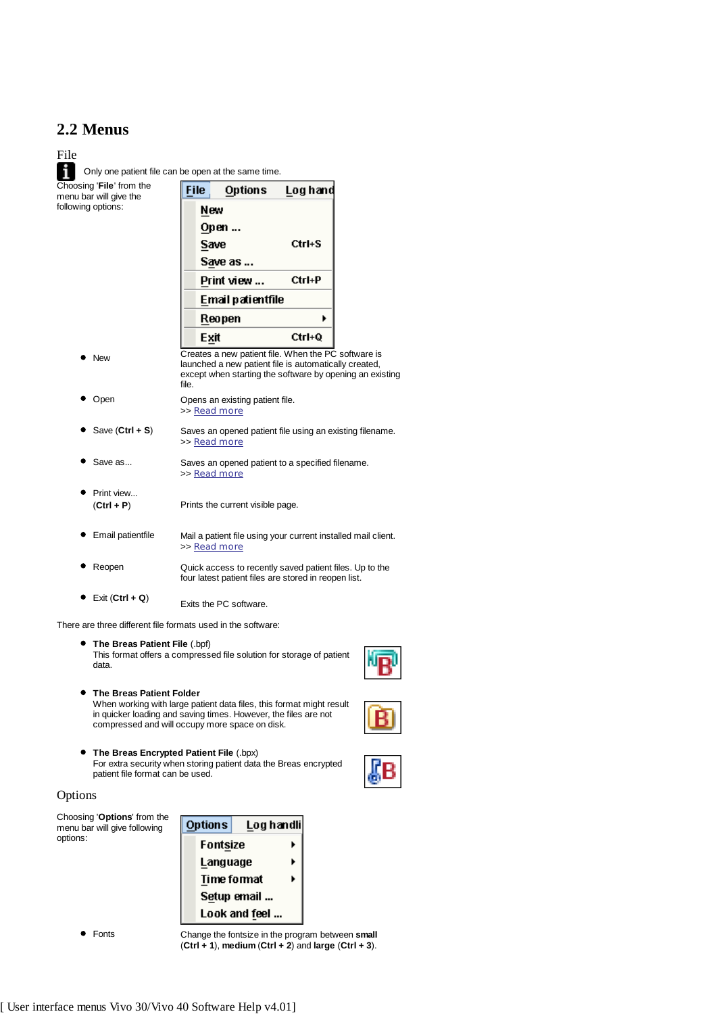## **2.2 Menus**



There are three different file formats used in the software:

**The Breas Patient Folder**

- **The Breas Patient File** (.bpf) This format offers a compressed file solution for storage of patient data.
	- When working with large patient data files, this format might result in quicker loading and saving times. However, the files are not





**The Breas Encrypted Patient File** (.bpx) For extra security when storing patient data the Breas encrypted patient file format can be used.

#### Options



compressed and will occupy more space on disk.

Fonts Change the fontsize in the program between **small** (**Ctrl + 1**), **medium** (**Ctrl + 2**) and **large** (**Ctrl + 3**).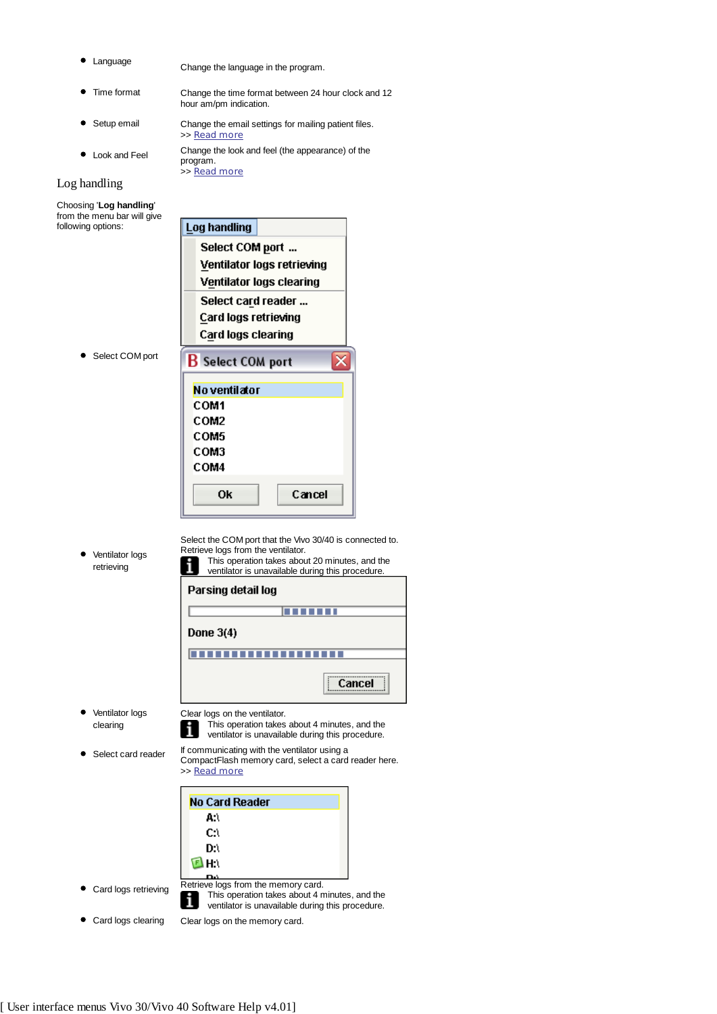- - Language Change the language in the program.
	- Time format Change the time format between 24 hour clock and 12 hour am/pm indication.
	- Setup email Change the email settings for mailing patient files. >> Read more
- Look and Feel Change the look and feel (the appearance) of the program. >> Read more

## Log handling

Choosing '**Log handling**' from the menu bar will give following options:

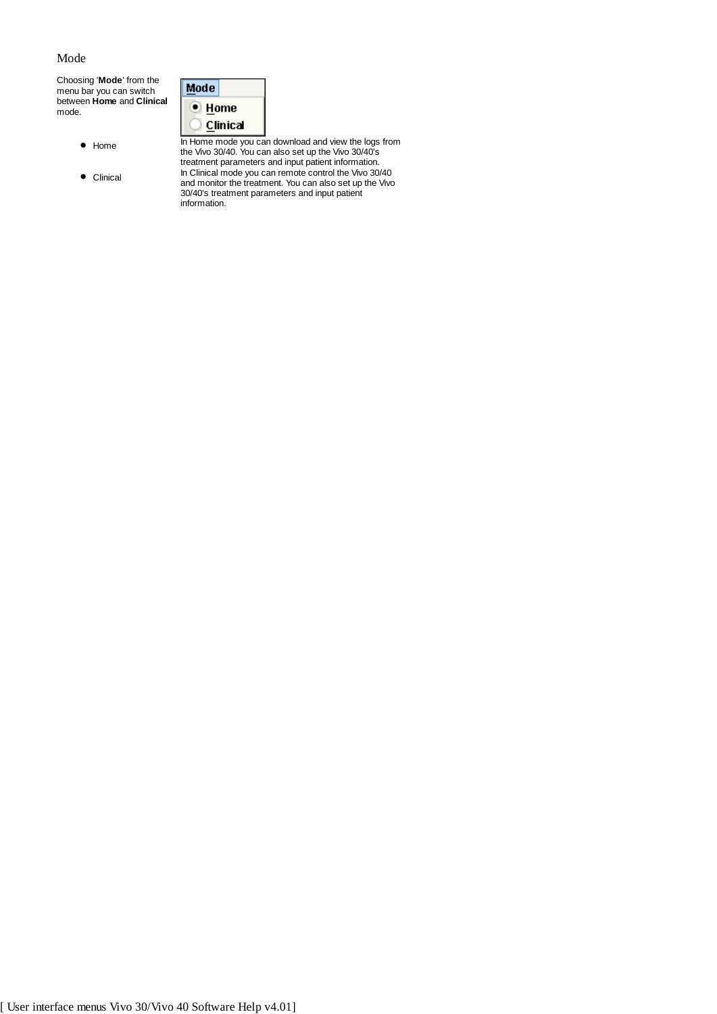## Mode

Choosing '**Mode**' from the menu bar you can switch between **Home** and **Clinical** mode.

| Mode |          |
|------|----------|
|      | Home     |
|      | Clinical |
|      |          |

information.

- 
- 

Home In Home mode you can download and view the logs from the Vivo 30/40. You can also set up the Vivo 30/40's treatment parameters and input patient information. Clinical In Clinical mode you can remote control the Vivo 30/40 and monitor the treatment. You can also set up the Vivo 30/40's treatment parameters and input patient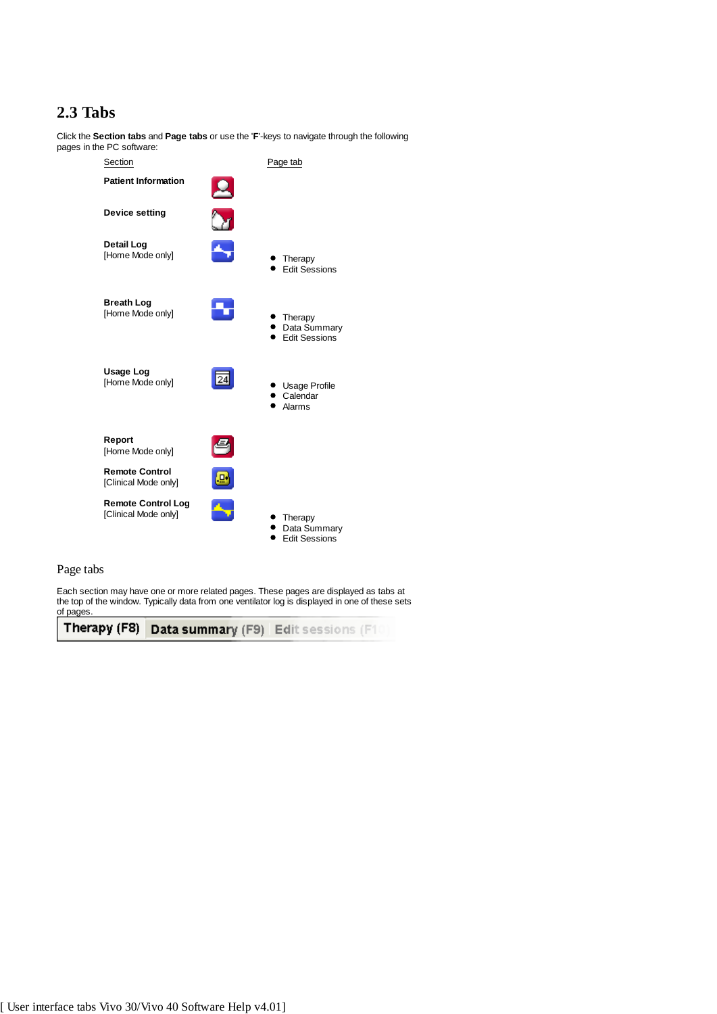# **2.3 Tabs**

Click the **Section tabs** and **Page tabs** or use the '**F**'-keys to navigate through the following pages in the PC software:

| Section                                           |   | Page tab                                        |
|---------------------------------------------------|---|-------------------------------------------------|
| <b>Patient Information</b>                        | Ц |                                                 |
| <b>Device setting</b>                             |   |                                                 |
| <b>Detail Log</b><br>[Home Mode only]             |   | Therapy<br><b>Edit Sessions</b>                 |
| <b>Breath Log</b><br>[Home Mode only]             |   | Therapy<br>Data Summary<br><b>Fdit Sessions</b> |
| <b>Usage Log</b><br>[Home Mode only]              |   | Usage Profile<br>Calendar<br>Alarms             |
| Report<br>[Home Mode only]                        |   |                                                 |
| <b>Remote Control</b><br>[Clinical Mode only]     |   |                                                 |
| <b>Remote Control Log</b><br>[Clinical Mode only] |   | Therapy<br>Data Summary<br><b>Fdit Sessions</b> |

## Page tabs

Each section may have one or more related pages. These pages are displayed as tabs at the top of the window. Typically data from one ventilator log is displayed in one of these sets of pages.

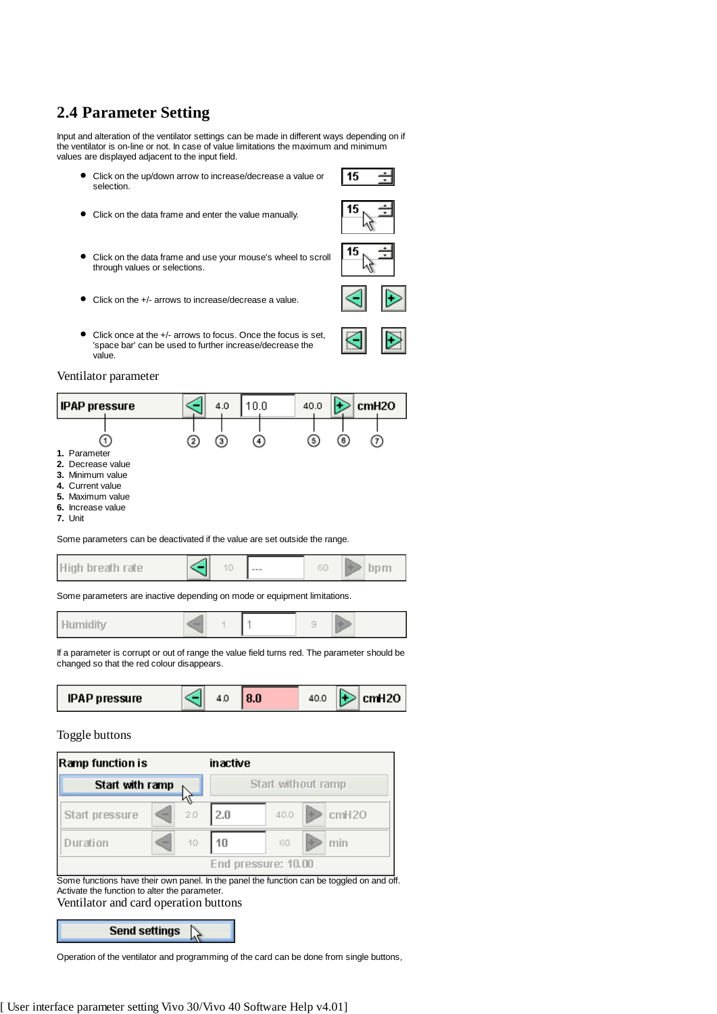# **2.4 Parameter Setting**

Input and alteration of the ventilator settings can be made in different ways depending on if the ventilator is on-line or not. In case of value limitations the maximum and minimum values are displayed adjacent to the input field.

- Click on the up/down arrow to increase/decrease a value or selection.
- Click on the data frame and enter the value manually.
- Click on the data frame and use your mouse's wheel to scroll  $\bullet$ through values or selections.
- Click on the +/- arrows to increase/decrease a value.
- Click once at the +/- arrows to focus. Once the focus is set, 'space bar' can be used to further increase/decrease the value.

## Ventilator parameter



|  | High breath rate |  |  | $---$ |  |  |  |
|--|------------------|--|--|-------|--|--|--|
|--|------------------|--|--|-------|--|--|--|

Some parameters are inactive depending on mode or equipment limitations.



If a parameter is corrupt or out of range the value field turns red. The parameter should be changed so that the red colour disappears.



## Toggle buttons

| Ramp function is |   |     | inactive |                     |       |
|------------------|---|-----|----------|---------------------|-------|
| Start with ramp  |   |     |          | Start without ramp  |       |
| Start pressure   | - | 2.0 | 2.0      | 40.0                | cmH20 |
| Duration         | - | 10  | 10       | GO                  | min   |
|                  |   |     |          | End pressure: 10.00 |       |

**Send settings** 

Operation of the ventilator and programming of the card can be done from single buttons,

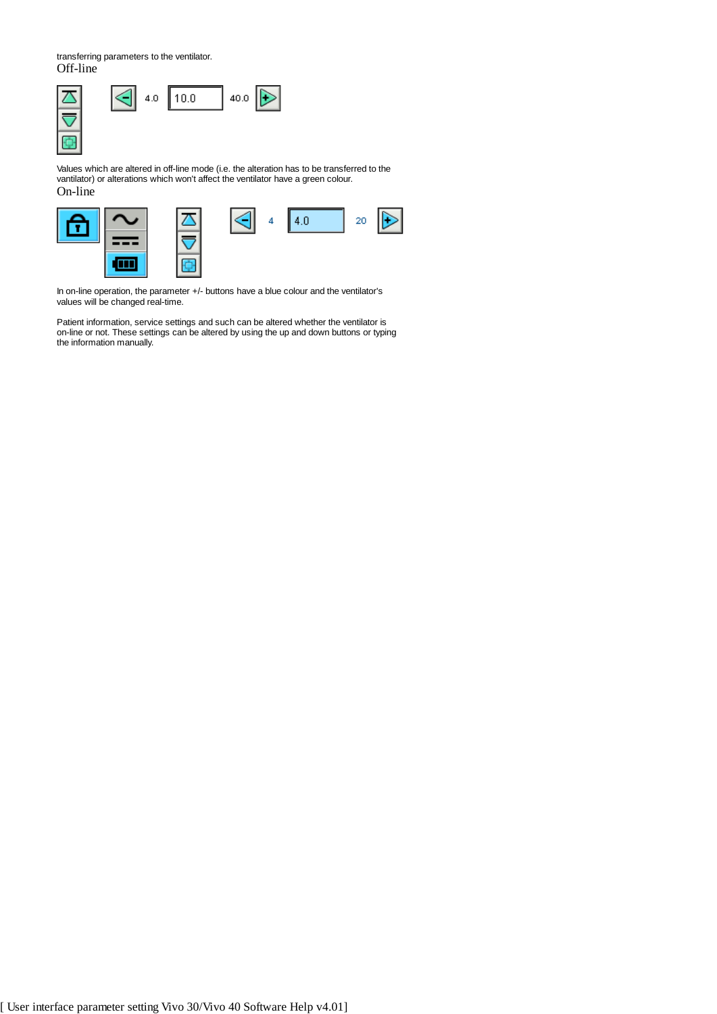transferring parameters to the ventilator. Off-line



Values which are altered in off-line mode (i.e. the alteration has to be transferred to the vantilator) or alterations which won't affect the ventilator have a green colour. On-line



In on-line operation, the parameter +/- buttons have a blue colour and the ventilator's values will be changed real-time.

Patient information, service settings and such can be altered whether the ventilator is on-line or not. These settings can be altered by using the up and down buttons or typing the information manually.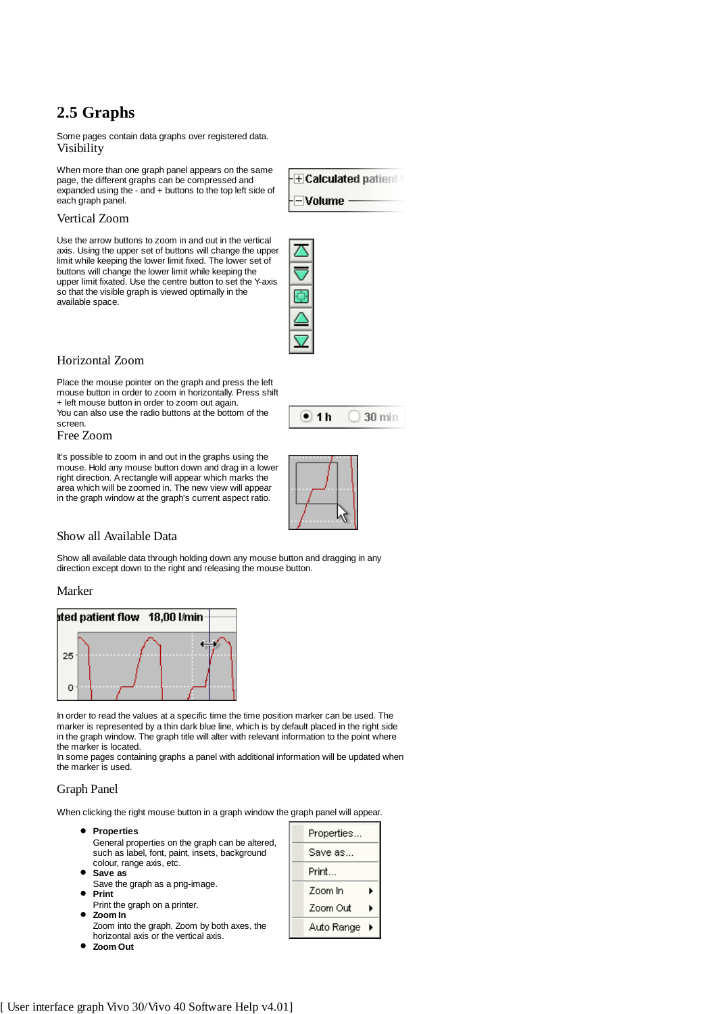# **2.5 Graphs**

Some pages contain data graphs over registered data. Visibility

When more than one graph panel appears on the same page, the different graphs can be compressed and expanded using the - and + buttons to the top left side of each graph panel.

**ECalculated patient**  $\exists$ Volume -

#### Vertical Zoom

Use the arrow buttons to zoom in and out in the vertical axis. Using the upper set of buttons will change the upper limit while keeping the lower limit fixed. The lower set of buttons will change the lower limit while keeping the upper limit fixated. Use the centre button to set the Y-axis so that the visible graph is viewed optimally in the available space.

#### Horizontal Zoom

Place the mouse pointer on the graph and press the left mouse button in order to zoom in horizontally. Press shift

+ left mouse button in order to zoom out again. You can also use the radio buttons at the bottom of the

## Free Zoom

screen.

It's possible to zoom in and out in the graphs using the mouse. Hold any mouse button down and drag in a lower right direction. A rectangle will appear which marks the area which will be zoomed in. The new view will appear in the graph window at the graph's current aspect ratio.



 $\bullet$  1h

 $\bigcirc$  30 min

## Show all Available Data

Show all available data through holding down any mouse button and dragging in any direction except down to the right and releasing the mouse button.

#### Marker



In order to read the values at a specific time the time position marker can be used. The marker is represented by a thin dark blue line, which is by default placed in the right side in the graph window. The graph title will alter with relevant information to the point where the marker is located.

In some pages containing graphs a panel with additional information will be updated when the marker is used.

## Graph Panel

When clicking the right mouse button in a graph window the graph panel will appear.

| <b>Properties</b><br>General properties on the graph can be altered, | Properties |  |
|----------------------------------------------------------------------|------------|--|
| such as label, font, paint, insets, background                       | Save as    |  |
| colour, range axis, etc.<br>$\bullet$ Save as                        | Print      |  |
| Save the graph as a png-image.<br>Print                              | Zoom In    |  |
| Print the graph on a printer.<br>$\bullet$ Zoom In                   | Zoom Out   |  |
| Zoom into the graph. Zoom by both axes, the                          | Auto Range |  |

horizontal axis or the vertical axis. **Zoom Out**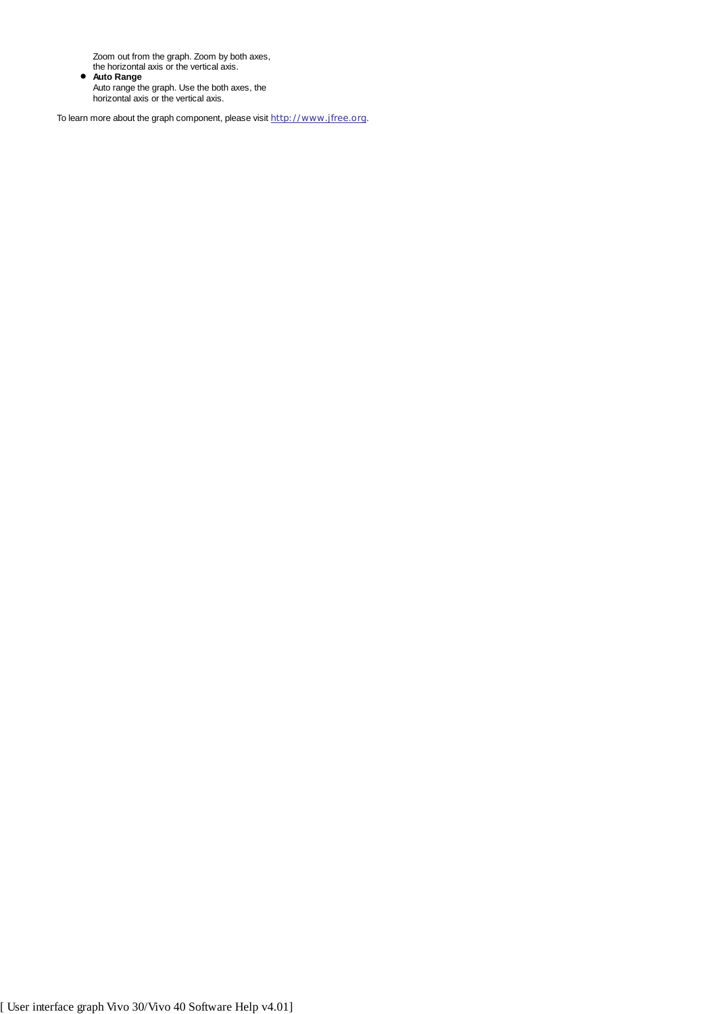Zoom out from the graph. Zoom by both axes,

the horizontal axis or the vertical axis. **Auto Range** Auto range the graph. Use the both axes, the horizontal axis or the vertical axis.

To learn more about the graph component, please visit http://www.jfree.org.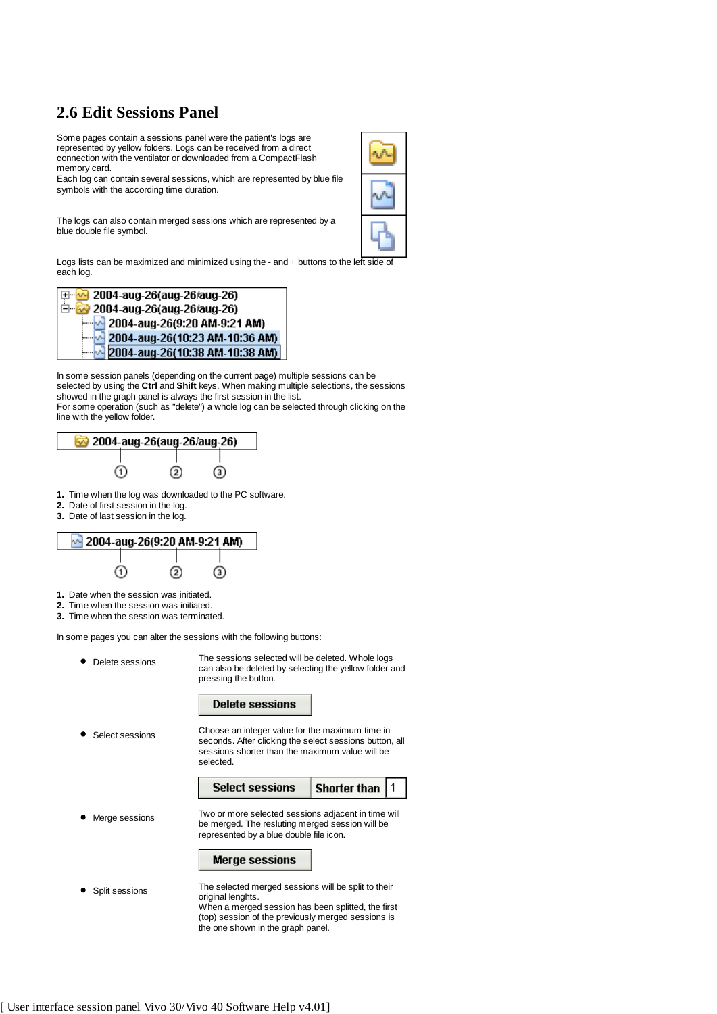# **2.6 Edit Sessions Panel**

Some pages contain a sessions panel were the patient's logs are represented by yellow folders. Logs can be received from a direct connection with the ventilator or downloaded from a CompactFlash memory card.

Each log can contain several sessions, which are represented by blue file symbols with the according time duration.

The logs can also contain merged sessions which are represented by a blue double file symbol.

Logs lists can be maximized and minimized using the - and + buttons to the left side of each log.



In some session panels (depending on the current page) multiple sessions can be selected by using the **Ctrl** and **Shift** keys. When making multiple selections, the sessions showed in the graph panel is always the first session in the list. For some operation (such as "delete") a whole log can be selected through clicking on the line with the yellow folder.



- **1.** Time when the log was downloaded to the PC software.
- **2.** Date of first session in the log.
- **3.** Date of last session in the log.



- **1.** Date when the session was initiated.
- **2.** Time when the session was initiated.
- **3.** Time when the session was terminated.

In some pages you can alter the sessions with the following buttons:

| Delete sessions | The sessions selected will be deleted. Whole logs<br>can also be deleted by selecting the yellow folder and<br>pressing the button.                                                  |                     |  |
|-----------------|--------------------------------------------------------------------------------------------------------------------------------------------------------------------------------------|---------------------|--|
|                 | <b>Delete sessions</b>                                                                                                                                                               |                     |  |
| Select sessions | Choose an integer value for the maximum time in<br>seconds. After clicking the select sessions button, all<br>sessions shorter than the maximum value will be<br>selected.           |                     |  |
|                 | <b>Select sessions</b>                                                                                                                                                               | <b>Shorter than</b> |  |
| Merge sessions  | Two or more selected sessions adjacent in time will<br>be merged. The resluting merged session will be<br>represented by a blue double file icon.                                    |                     |  |
|                 | <b>Merge sessions</b>                                                                                                                                                                |                     |  |
| Split sessions  | The selected merged sessions will be split to their<br>original lenghts.<br>When a merged session has been splitted, the first<br>(top) session of the previously merged sessions is |                     |  |

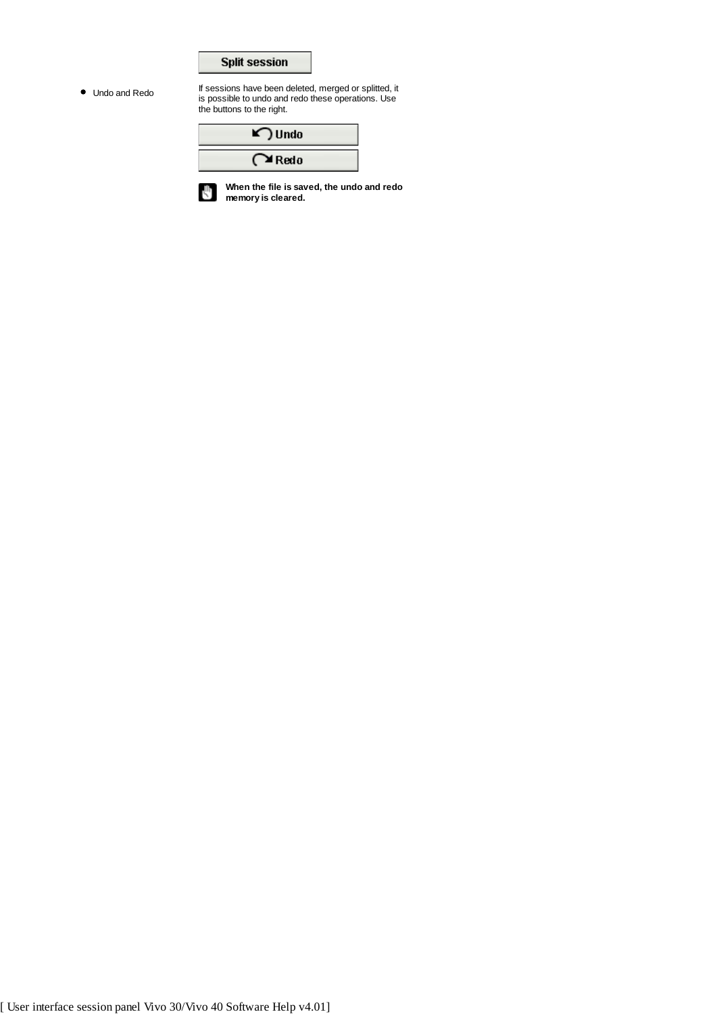

Undo and Redo If sessions have been deleted, merged or splitted, it<br>is possible to undo and redo these operations. Use the buttons to the right.

| $\blacktriangleright$ Undo |
|----------------------------|
| $\sim$ Redo                |

**When the file is saved, the undo and redo** U **memory is cleared.**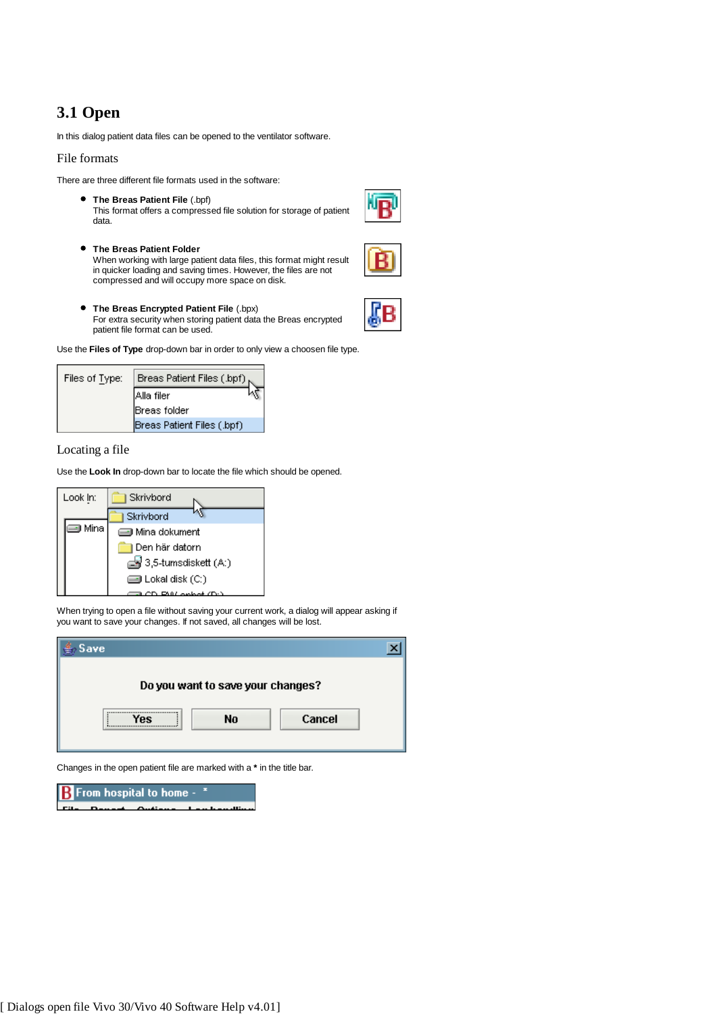# **3.1 Open**

In this dialog patient data files can be opened to the ventilator software.

#### File formats

There are three different file formats used in the software:

- **The Breas Patient File** (.bpf) This format offers a compressed file solution for storage of patient data.
- **The Breas Patient Folder** When working with large patient data files, this format might result in quicker loading and saving times. However, the files are not compressed and will occupy more space on disk.
- **The Breas Encrypted Patient File** (.bpx) For extra security when storing patient data the Breas encrypted patient file format can be used.

Use the **Files of Type** drop-down bar in order to only view a choosen file type.

| Files of Type: | Breas Patient Files (.bpf) $_{\kappa}$ |
|----------------|----------------------------------------|
|                | <b>Alla</b> filer                      |
|                | Breas folder                           |
|                | Breas Patient Files (.bpf)             |

## Locating a file

Use the **Look In** drop-down bar to locate the file which should be opened.



When trying to open a file without saving your current work, a dialog will appear asking if you want to save your changes. If not saved, all changes will be lost.

| Save |                                   |        |  |
|------|-----------------------------------|--------|--|
|      | Do you want to save your changes? |        |  |
|      | No                                | Cancel |  |

Changes in the open patient file are marked with a **\*** in the title bar.

From hospital to home -В





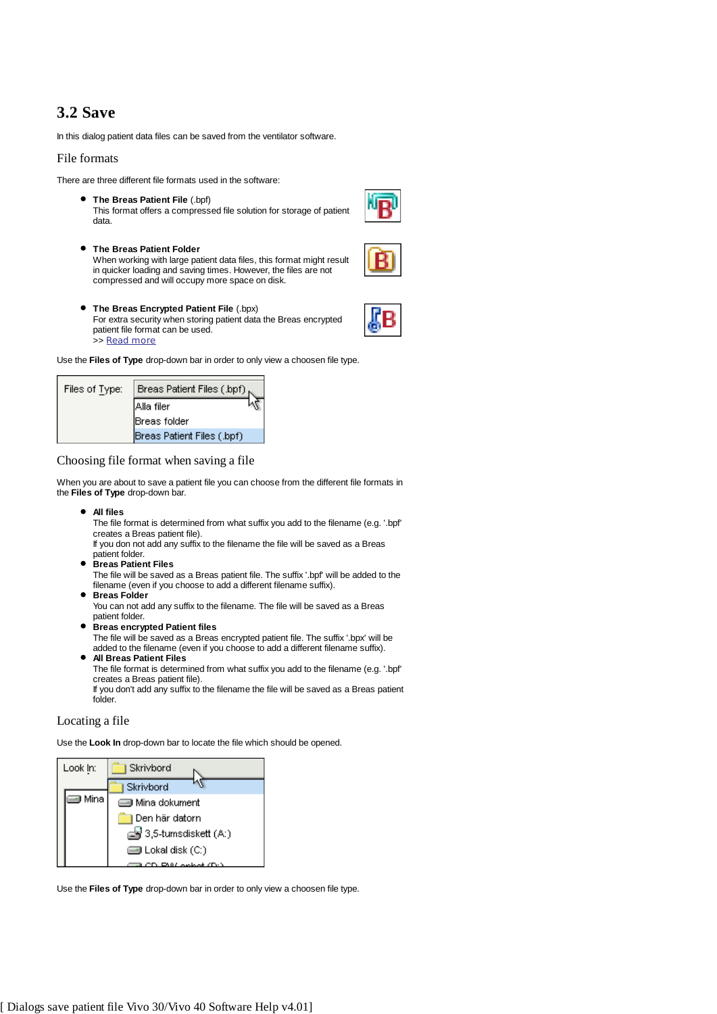# **3.2 Save**

In this dialog patient data files can be saved from the ventilator software.

#### File formats

There are three different file formats used in the software:

- **The Breas Patient File** (.bpf) This format offers a compressed file solution for storage of patient data.
- **The Breas Patient Folder** When working with large patient data files, this format might result in quicker loading and saving times. However, the files are not compressed and will occupy more space on disk.
- **The Breas Encrypted Patient File** (.bpx) For extra security when storing patient data the Breas encrypted patient file format can be used. >> Read more

Use the **Files of Type** drop-down bar in order to only view a choosen file type.

| Files of Type: | Breas Patient Files (.bpf), |
|----------------|-----------------------------|
|                | <b>Alla filer</b>           |
|                | <b>IBreas</b> folder        |
|                | Breas Patient Files (.bpf)  |

Choosing file format when saving a file

When you are about to save a patient file you can choose from the different file formats in the **Files of Type** drop-down bar.

**All files**

The file format is determined from what suffix you add to the filename (e.g. '.bpf' creates a Breas patient file).

If you don not add any suffix to the filename the file will be saved as a Breas patient folder.

**Breas Patient Files**

The file will be saved as a Breas patient file. The suffix '.bpf' will be added to the filename (even if you choose to add a different filename suffix). **Breas Folder**

- You can not add any suffix to the filename. The file will be saved as a Breas patient folder.
- **Breas encrypted Patient files**

The file will be saved as a Breas encrypted patient file. The suffix '.bpx' will be added to the filename (even if you choose to add a different filename suffix).

**All Breas Patient Files** The file format is determined from what suffix you add to the filename (e.g. '.bpf' creates a Breas patient file). If you don't add any suffix to the filename the file will be saved as a Breas patient folder.

#### Locating a file

Use the **Look In** drop-down bar to locate the file which should be opened.



Use the **Files of Type** drop-down bar in order to only view a choosen file type.

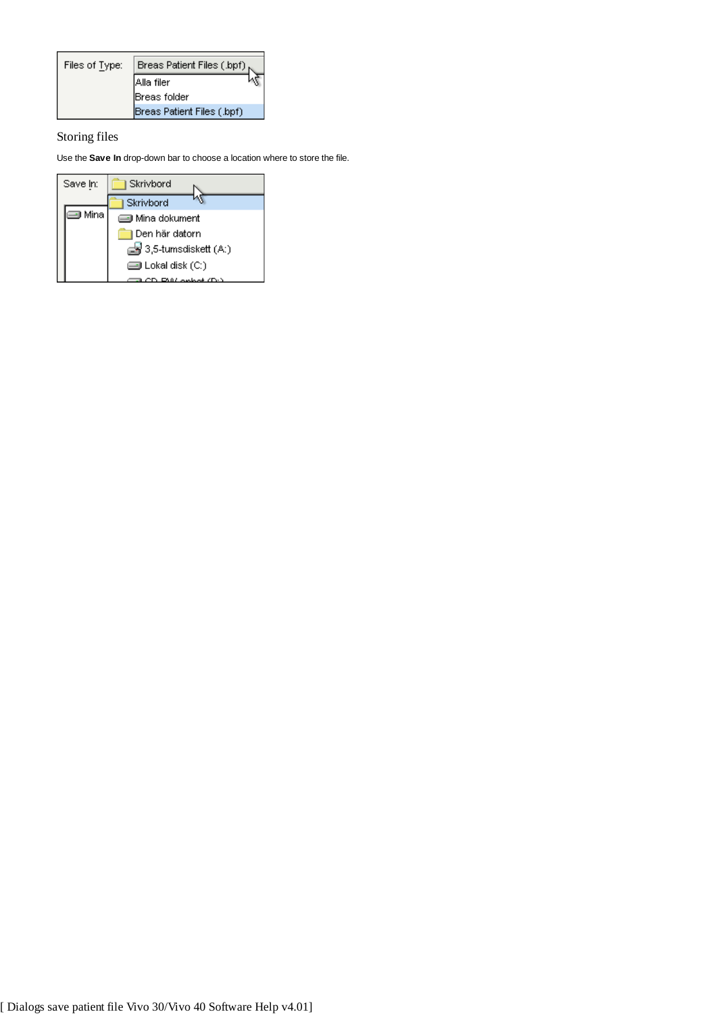| Files of Type: | Breas Patient Files (.bpf) |
|----------------|----------------------------|
|                | Alla filer                 |
|                | Breas folder               |
|                | Breas Patient Files (.bpf) |

Storing files

Use the **Save In** drop-down bar to choose a location where to store the file.

| Save In: | Skrivbord                 |
|----------|---------------------------|
|          | Skrivbord                 |
| ⊟ Mina   | <b>i</b> Mina dokument    |
|          | Den här datorn            |
|          | ds 3,5-tumsdiskett (A:)   |
|          | <b>is Lokal disk (C:)</b> |
|          |                           |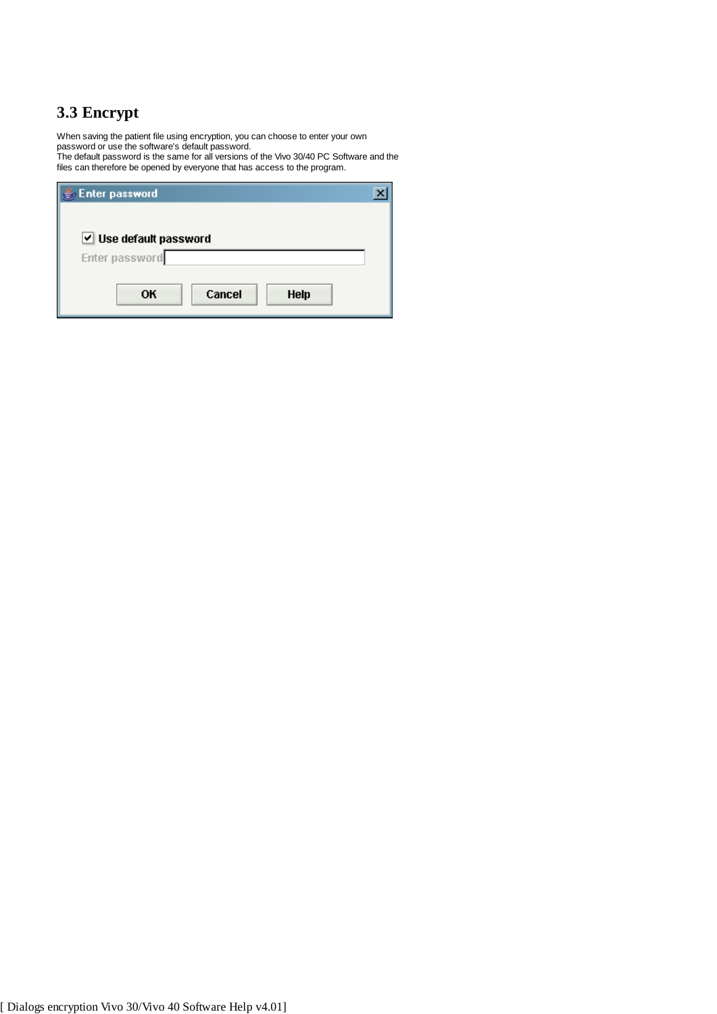# **3.3 Encrypt**

When saving the patient file using encryption, you can choose to enter your own password or use the software's default password.

The default password is the same for all versions of the Vivo 30/40 PC Software and the files can therefore be opened by everyone that has access to the program.

| <b>Enter password</b>       |  |
|-----------------------------|--|
|                             |  |
| Use default password        |  |
| Enter password              |  |
| Cancel<br>OK<br><b>Help</b> |  |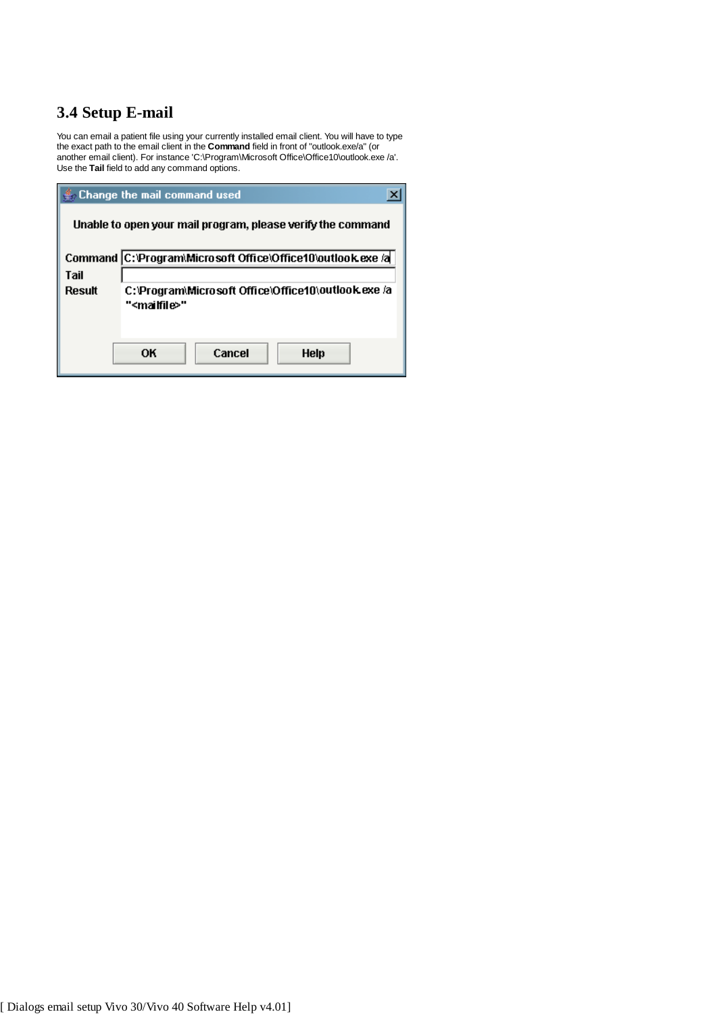# **3.4 Setup E-mail**

You can email a patient file using your currently installed email client. You will have to type the exact path to the email client in the **Command** field in front of "outlook.exe/a" (or another email client). For instance 'C:\Program\Microsoft Office\Office10\outlook.exe /a'. Use the **Tail** field to add any command options.

|                                                             | Change the mail command used                                |  |  |  |  |
|-------------------------------------------------------------|-------------------------------------------------------------|--|--|--|--|
| Unable to open your mail program, please verify the command |                                                             |  |  |  |  |
|                                                             | Command C:\Program\Microsoft Office\Office10\outlook.exe /a |  |  |  |  |
| Tail                                                        |                                                             |  |  |  |  |
| Result                                                      | C:\Program\Microsoft Office\Office10\outlook.exe /a         |  |  |  |  |
|                                                             | " <mailfile>"</mailfile>                                    |  |  |  |  |
|                                                             |                                                             |  |  |  |  |
|                                                             |                                                             |  |  |  |  |
|                                                             | Cancel<br>OК<br>Help                                        |  |  |  |  |
|                                                             |                                                             |  |  |  |  |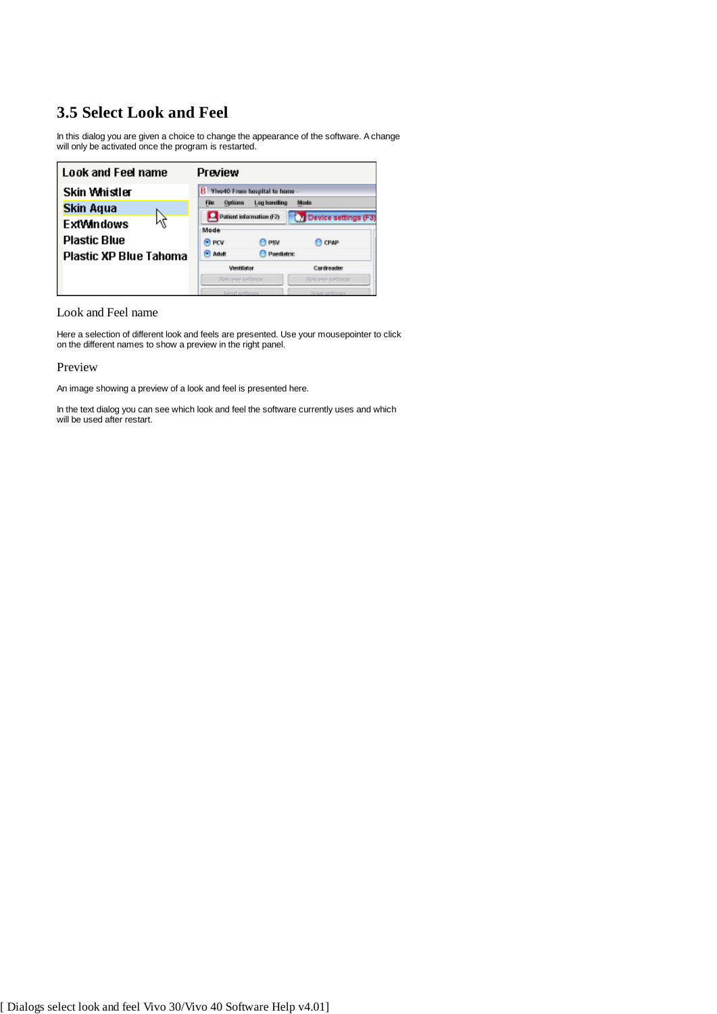# **3.5 Select Look and Feel**

In this dialog you are given a choice to change the appearance of the software. A change will only be activated once the program is restarted.

| Look and Feel name            | Preview                                                                   |                      |
|-------------------------------|---------------------------------------------------------------------------|----------------------|
| Skin Whistler                 | <b>B</b> Vivo40 From hospital to home -                                   |                      |
| Skin Aqua                     | <b>Log handling</b><br>Options<br><b>File</b><br>Patient information (F2) | Mode                 |
| 烃<br>ExtWindows               | Mode                                                                      | Device settings (F3) |
| <b>Plastic Blue</b>           | <sup>(a)</sup> PCV<br><sup>1</sup> PSV                                    | C CPAP               |
| <b>Plastic XP Blue Tahoma</b> | <b>C</b> Adult<br><b>Paedatric</b>                                        |                      |
|                               | <b>Ventilator</b>                                                         | Cardreader           |
|                               | Retrieve settinus                                                         | Retrieve seconds     |
|                               | Siend settimas                                                            | Sow settime          |

Look and Feel name

Here a selection of different look and feels are presented. Use your mousepointer to click on the different names to show a preview in the right panel.

## Preview

An image showing a preview of a look and feel is presented here.

In the text dialog you can see which look and feel the software currently uses and which will be used after restart.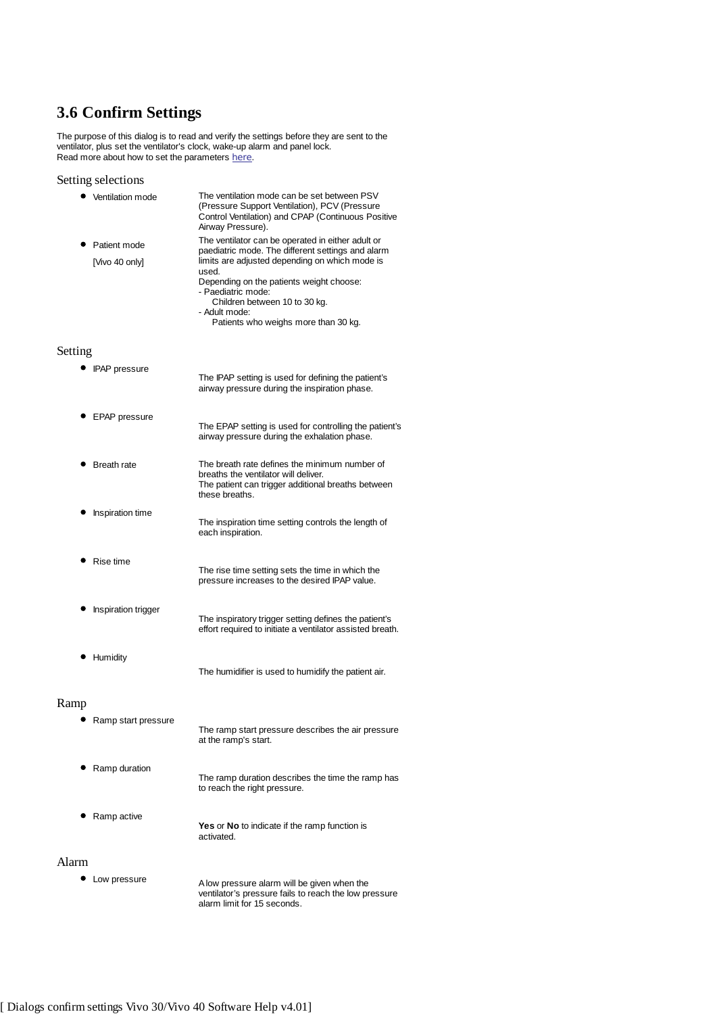# **3.6 Confirm Settings**

The purpose of this dialog is to read and verify the settings before they are sent to the ventilator, plus set the ventilator's clock, wake-up alarm and panel lock. Read more about how to set the parameters here.

## Setting selections

|         | Ventilation mode    | The ventilation mode can be set between PSV<br>(Pressure Support Ventilation), PCV (Pressure<br>Control Ventilation) and CPAP (Continuous Positive<br>Airway Pressure).                                             |
|---------|---------------------|---------------------------------------------------------------------------------------------------------------------------------------------------------------------------------------------------------------------|
|         | Patient mode        | The ventilator can be operated in either adult or<br>paediatric mode. The different settings and alarm                                                                                                              |
|         | [Vivo 40 only]      | limits are adjusted depending on which mode is<br>used.<br>Depending on the patients weight choose:<br>- Paediatric mode:<br>Children between 10 to 30 kg.<br>- Adult mode:<br>Patients who weighs more than 30 kg. |
| Setting |                     |                                                                                                                                                                                                                     |
|         | • IPAP pressure     | The IPAP setting is used for defining the patient's<br>airway pressure during the inspiration phase.                                                                                                                |
|         | EPAP pressure       | The EPAP setting is used for controlling the patient's<br>airway pressure during the exhalation phase.                                                                                                              |
|         | <b>Breath rate</b>  | The breath rate defines the minimum number of<br>breaths the ventilator will deliver.<br>The patient can trigger additional breaths between<br>these breaths.                                                       |
|         | Inspiration time    | The inspiration time setting controls the length of<br>each inspiration.                                                                                                                                            |
|         | Rise time           | The rise time setting sets the time in which the<br>pressure increases to the desired IPAP value.                                                                                                                   |
|         | Inspiration trigger | The inspiratory trigger setting defines the patient's<br>effort required to initiate a ventilator assisted breath.                                                                                                  |
|         | Humidity            | The humidifier is used to humidify the patient air.                                                                                                                                                                 |
| Ramp    |                     |                                                                                                                                                                                                                     |
|         | Ramp start pressure |                                                                                                                                                                                                                     |

# Ra

| Ramp start pressure | The ramp start pressure describes the air pressure<br>at the ramp's start.        |
|---------------------|-----------------------------------------------------------------------------------|
| Ramp duration       | The ramp duration describes the time the ramp has<br>to reach the right pressure. |
| Ramp active         | <b>Yes</b> or <b>No</b> to indicate if the ramp function is<br>activated.         |
|                     |                                                                                   |

- Alarm
	- Low pressure **A** low pressure alarm will be given when the ventilator's pressure fails to reach the low pressure alarm limit for 15 seconds.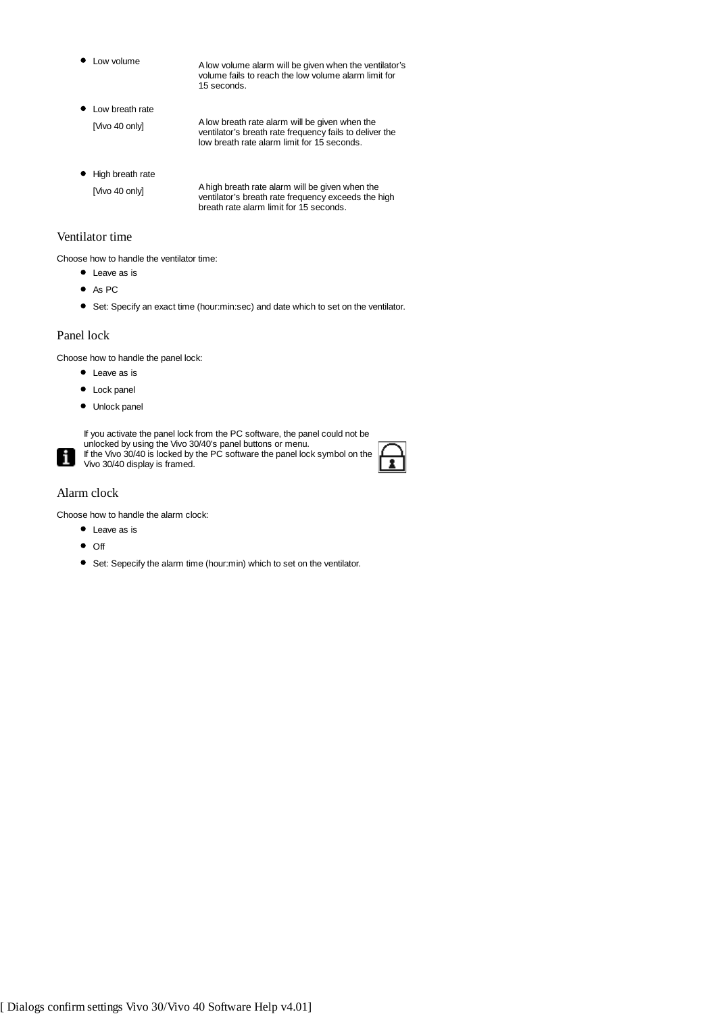Low volume A low volume alarm will be given when the ventilator's volume fails to reach the low volume alarm limit for 15 seconds.

- $\bullet$  Low breath rate [Vivo 40 only] A low breath rate alarm will be given when the ventilator's breath rate frequency fails to deliver the low breath rate alarm limit for 15 seconds.
- $\bullet$  High breath rate [Vivo 40 only] A high breath rate alarm will be given when the ventilator's breath rate frequency exceeds the high breath rate alarm limit for 15 seconds.

## Ventilator time

Choose how to handle the ventilator time:

- Leave as is
- As PC
- Set: Specify an exact time (hour:min:sec) and date which to set on the ventilator.

#### Panel lock

Choose how to handle the panel lock:

- Leave as is
- Lock panel
- $\bullet$  Unlock panel



If you activate the panel lock from the PC software, the panel could not be unlocked by using the Vivo 30/40's panel buttons or menu. If the Vivo 30/40 is locked by the PC software the panel lock symbol on the

Vivo 30/40 display is framed.



## Alarm clock

Choose how to handle the alarm clock:

- Leave as is
- $\bullet$  Off
- Set: Sepecify the alarm time (hour:min) which to set on the ventilator.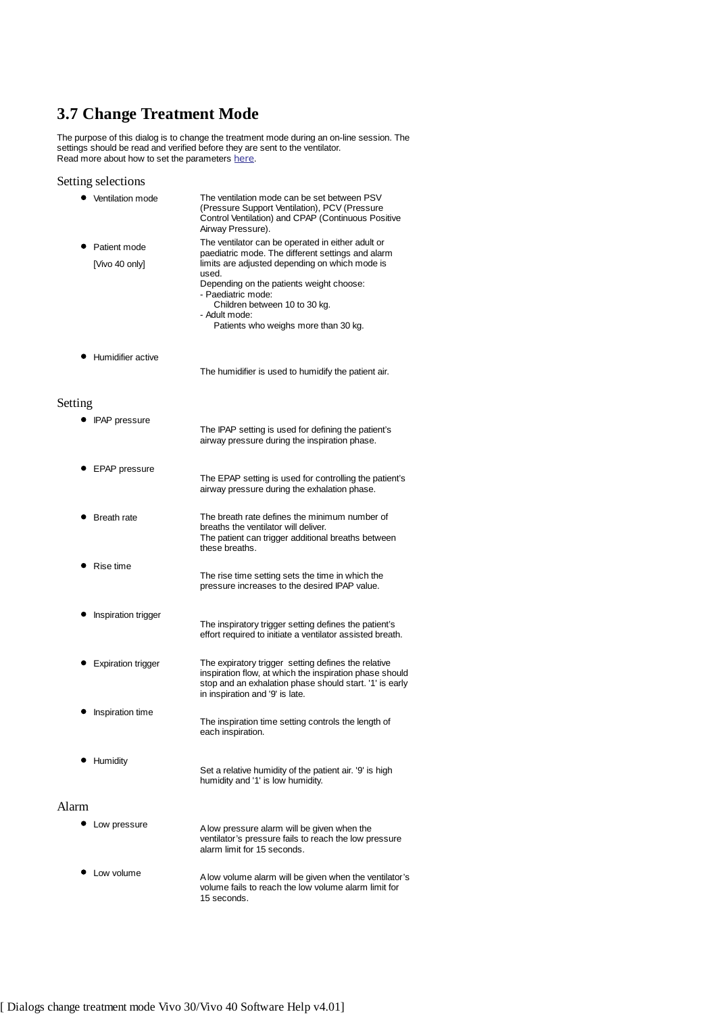# **3.7 Change Treatment Mode**

The purpose of this dialog is to change the treatment mode during an on-line session. The settings should be read and verified before they are sent to the ventilator. Read more about how to set the parameters here.

## Setting selections

| ٠       | Ventilation mode          | The ventilation mode can be set between PSV<br>(Pressure Support Ventilation), PCV (Pressure<br>Control Ventilation) and CPAP (Continuous Positive<br>Airway Pressure). |  |
|---------|---------------------------|-------------------------------------------------------------------------------------------------------------------------------------------------------------------------|--|
|         | Patient mode              | The ventilator can be operated in either adult or<br>paediatric mode. The different settings and alarm                                                                  |  |
|         | [Vivo 40 only]            | limits are adjusted depending on which mode is<br>used.                                                                                                                 |  |
|         |                           | Depending on the patients weight choose:<br>- Paediatric mode:                                                                                                          |  |
|         |                           | Children between 10 to 30 kg.                                                                                                                                           |  |
|         |                           | - Adult mode:<br>Patients who weighs more than 30 kg.                                                                                                                   |  |
|         | • Humidifier active       |                                                                                                                                                                         |  |
|         |                           | The humidifier is used to humidify the patient air.                                                                                                                     |  |
|         |                           |                                                                                                                                                                         |  |
| Setting |                           |                                                                                                                                                                         |  |
|         | • IPAP pressure           | The IPAP setting is used for defining the patient's<br>airway pressure during the inspiration phase.                                                                    |  |
|         | EPAP pressure             |                                                                                                                                                                         |  |
|         |                           | The EPAP setting is used for controlling the patient's<br>airway pressure during the exhalation phase.                                                                  |  |
|         | <b>Breath rate</b>        | The breath rate defines the minimum number of                                                                                                                           |  |
|         |                           | breaths the ventilator will deliver.<br>The patient can trigger additional breaths between<br>these breaths.                                                            |  |
|         | Rise time                 | The rise time setting sets the time in which the                                                                                                                        |  |
|         |                           | pressure increases to the desired IPAP value.                                                                                                                           |  |
|         | Inspiration trigger       | The inspiratory trigger setting defines the patient's                                                                                                                   |  |
|         |                           | effort required to initiate a ventilator assisted breath.                                                                                                               |  |
|         | <b>Expiration trigger</b> | The expiratory trigger setting defines the relative                                                                                                                     |  |
|         |                           | inspiration flow, at which the inspiration phase should<br>stop and an exhalation phase should start. '1' is early<br>in inspiration and '9' is late.                   |  |
|         | Inspiration time          |                                                                                                                                                                         |  |
|         |                           | The inspiration time setting controls the length of<br>each inspiration.                                                                                                |  |
|         | Humidity                  |                                                                                                                                                                         |  |
|         |                           | Set a relative humidity of the patient air. '9' is high<br>humidity and '1' is low humidity.                                                                            |  |
| Alarm   |                           |                                                                                                                                                                         |  |
|         | Low pressure              | A low pressure alarm will be given when the                                                                                                                             |  |
|         |                           | ventilator's pressure fails to reach the low pressure<br>alarm limit for 15 seconds.                                                                                    |  |
|         |                           |                                                                                                                                                                         |  |

Low volume A low volume alarm will be given when the ventilator's volume fails to reach the low volume alarm limit for 15 seconds.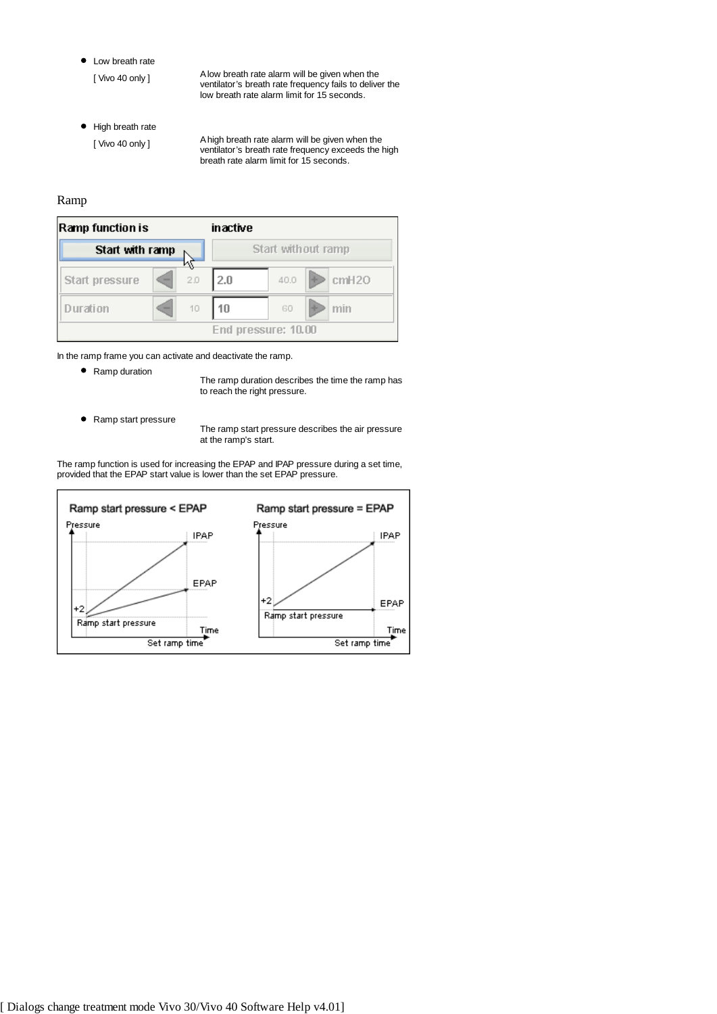• Low breath rate

[ Vivo 40 only ] A low breath rate alarm will be given when the ventilator's breath rate frequency fails to deliver the low breath rate alarm limit for 15 seconds.

 $\bullet$  High breath rate

[ Vivo 40 only ] A high breath rate alarm will be given when the ventilator's breath rate frequency exceeds the high breath rate alarm limit for 15 seconds.

## Ramp

| Ramp function is |   | inactive           |     |                     |  |       |
|------------------|---|--------------------|-----|---------------------|--|-------|
| Start with ramp  |   | Start without ramp |     |                     |  |       |
| Start pressure   | - | 2.0                | 2.0 | 40.0                |  | cmH20 |
| ) urati on       | - | 10                 | 10  | GO                  |  | min   |
|                  |   |                    |     | End pressure: 10.00 |  |       |

In the ramp frame you can activate and deactivate the ramp.

• Ramp duration

The ramp duration describes the time the ramp has to reach the right pressure.

● Ramp start pressure

The ramp start pressure describes the air pressure at the ramp's start.

The ramp function is used for increasing the EPAP and IPAP pressure during a set time, provided that the EPAP start value is lower than the set EPAP pressure.

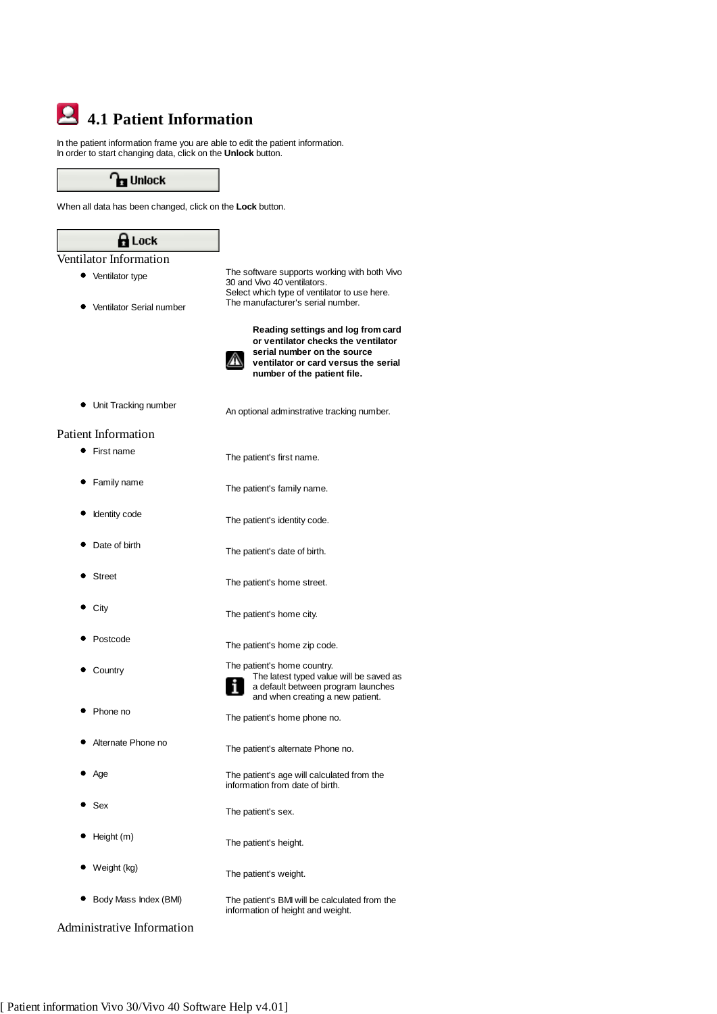# **4.1 Patient Information**

In the patient information frame you are able to edit the patient information. In order to start changing data, click on the **Unlock** button.

**Pra** Unlock

When all data has been changed, click on the **Lock** button.

| <b>H</b> Lock              |                                                                                                                                                                                 |
|----------------------------|---------------------------------------------------------------------------------------------------------------------------------------------------------------------------------|
| Ventilator Information     |                                                                                                                                                                                 |
| Ventilator type            | The software supports working with both Vivo<br>30 and Vivo 40 ventilators.<br>Select which type of ventilator to use here.<br>The manufacturer's serial number.                |
| Ventilator Serial number   |                                                                                                                                                                                 |
|                            | Reading settings and log from card<br>or ventilator checks the ventilator<br>serial number on the source<br>ventilator or card versus the serial<br>number of the patient file. |
| Unit Tracking number       | An optional adminstrative tracking number.                                                                                                                                      |
| <b>Patient Information</b> |                                                                                                                                                                                 |
| First name                 | The patient's first name.                                                                                                                                                       |
| Family name                | The patient's family name.                                                                                                                                                      |
| Identity code              | The patient's identity code.                                                                                                                                                    |
| Date of birth              | The patient's date of birth.                                                                                                                                                    |
| <b>Street</b>              | The patient's home street.                                                                                                                                                      |
| City                       | The patient's home city.                                                                                                                                                        |
| Postcode                   | The patient's home zip code.                                                                                                                                                    |
| Country                    | The patient's home country.<br>The latest typed value will be saved as<br>a default between program launches<br>and when creating a new patient.                                |
| Phone no                   | The patient's home phone no.                                                                                                                                                    |
| Alternate Phone no         | The patient's alternate Phone no.                                                                                                                                               |
| Age                        | The patient's age will calculated from the<br>information from date of birth.                                                                                                   |
| Sex                        | The patient's sex.                                                                                                                                                              |
| Height (m)                 | The patient's height.                                                                                                                                                           |
| Weight (kg)                | The patient's weight.                                                                                                                                                           |
| Body Mass Index (BMI)      | The patient's BMI will be calculated from the<br>information of height and weight.                                                                                              |

Administrative Information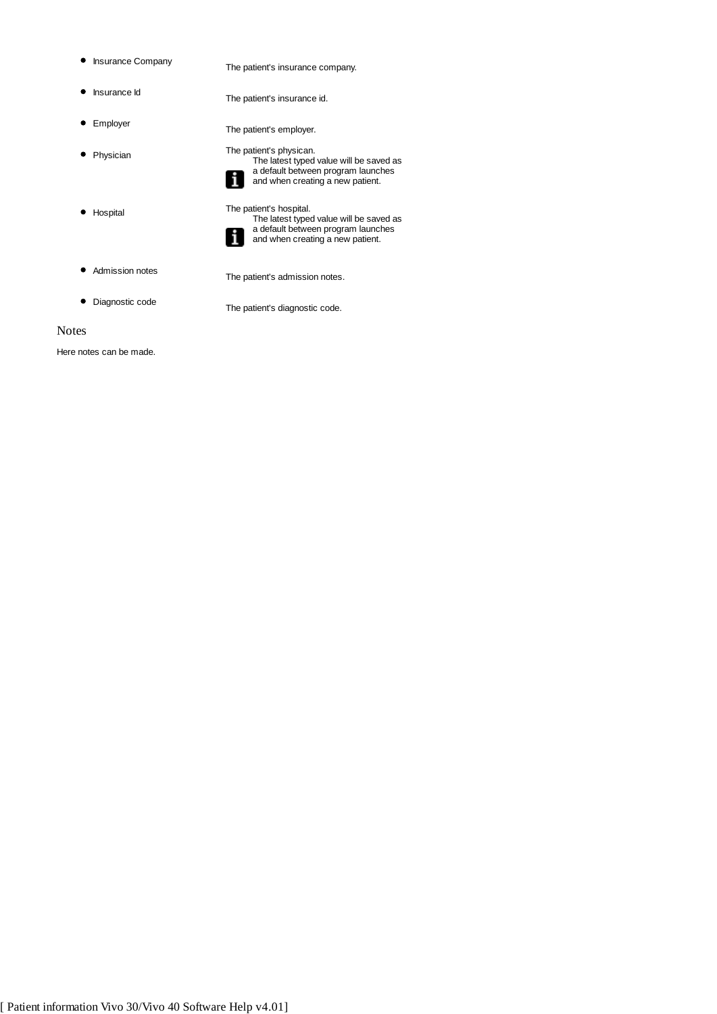- 
- Insurance Company The patient's insurance company.
- 
- Insurance Id The patient's insurance id.
- 
- Employer The patient's employer.
- Physician The patient's physican.
- 
- 
- The latest typed value will be saved as a default between program launches and when creating a new patient.
- Hospital The patient's hospital.



- The latest typed value will be saved as a default between program launches and when creating a new patient.
- 
- Admission notes The patient's admission notes.
- 

Diagnostic code The patient's diagnostic code.

## Notes

Here notes can be made.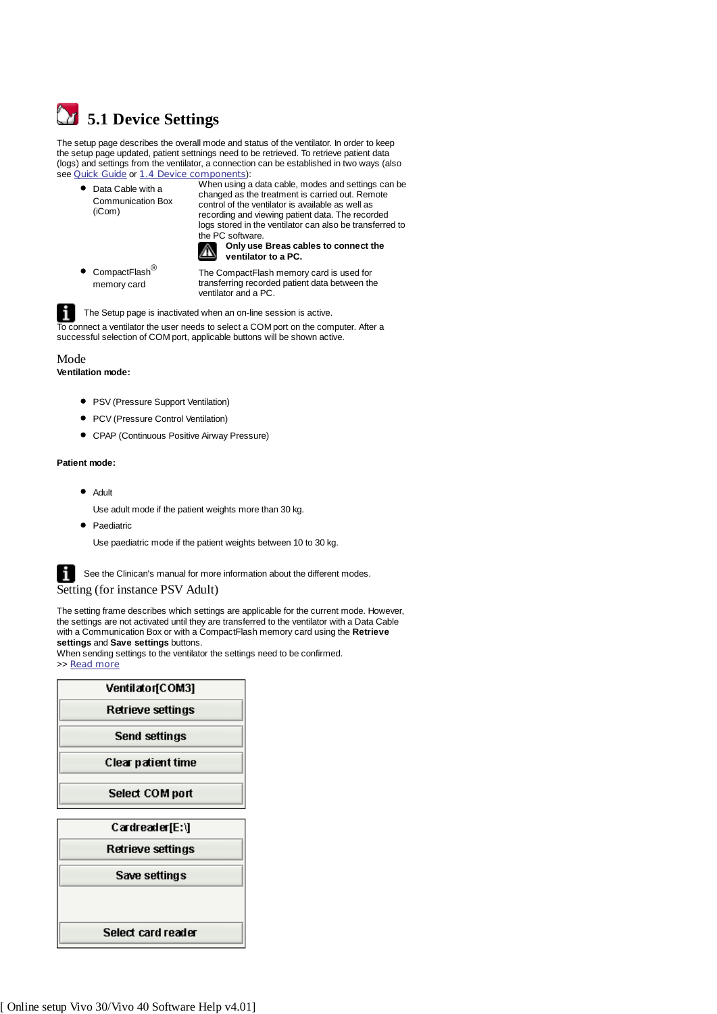

The setup page describes the overall mode and status of the ventilator. In order to keep the setup page updated, patient settnings need to be retrieved. To retrieve patient data (logs) and settings from the ventilator, a connection can be established in two ways (also see **Quick Guide or 1.4 Device components**):

● Data Cable with a Communication Box (iCom)

When using a data cable, modes and settings can be changed as the treatment is carried out. Remote control of the ventilator is available as well as recording and viewing patient data. The recorded logs stored in the ventilator can also be transferred to the PC software.



 $\bullet$  CompactFlash<sup>®</sup> memory card

The CompactFlash memory card is used for transferring recorded patient data between the ventilator and a PC.

#### The Setup page is inactivated when an on-line session is active.

To connect a ventilator the user needs to select a COM port on the computer. After a successful selection of COM port, applicable buttons will be shown active.

#### Mode

**Ventilation mode:**

- PSV (Pressure Support Ventilation)
- PCV (Pressure Control Ventilation)
- CPAP (Continuous Positive Airway Pressure)

#### **Patient mode:**

• Adult

Use adult mode if the patient weights more than 30 kg.

• Paediatric Use paediatric mode if the patient weights between 10 to 30 kg.

 $\mathbf{R}$  See the Clinican's manual for more information about the different modes.

Setting (for instance PSV Adult)

The setting frame describes which settings are applicable for the current mode. However, the settings are not activated until they are transferred to the ventilator with a Data Cable with a Communication Box or with a CompactFlash memory card using the **Retrieve settings** and **Save settings** buttons.

When sending settings to the ventilator the settings need to be confirmed. >> Read more

| Ventilator[COM3]       |
|------------------------|
| Retrieve settings      |
| Send settings          |
| Clear patient time     |
| <b>Select COM port</b> |
| Cardreader[E:\]        |
| Retrieve settings      |
| Save settings          |
|                        |
| Select card reader     |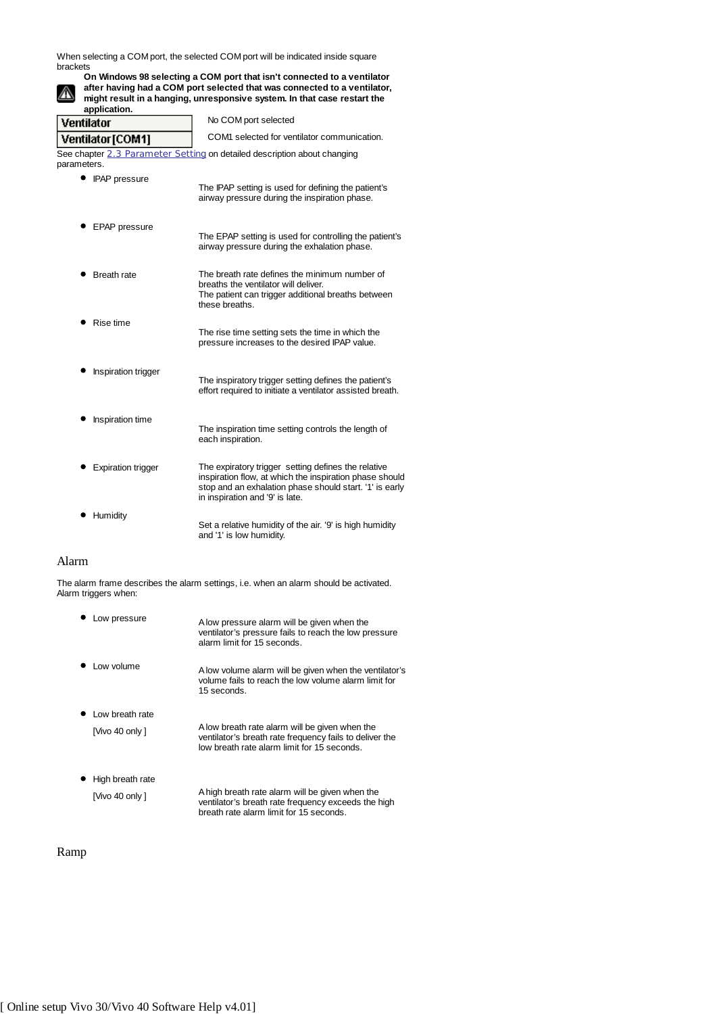When selecting a COM port, the selected COM port will be indicated inside square brackets



**On Windows 98 selecting a COM port that isn't connected to a ventilator after having had a COM port selected that was connected to a ventilator, might result in a hanging, unresponsive system. In that case restart the**

**application.** Ventilator No COM port selected COM1 selected for ventilator communication. Ventilator [COM1]

See chapter 2.3 Parameter Setting on detailed description about changing parameters.

|                    | The IPAP setting is used for defining the patient's<br>airway pressure during the inspiration phase.                                                          |
|--------------------|---------------------------------------------------------------------------------------------------------------------------------------------------------------|
| EPAP pressure      | The EPAP setting is used for controlling the patient's<br>airway pressure during the exhalation phase.                                                        |
| <b>Breath rate</b> | The breath rate defines the minimum number of<br>breaths the ventilator will deliver.<br>The patient can trigger additional breaths between<br>these breaths. |
| Rise time          | The rise time setting sets the time in which the                                                                                                              |

**•** Inspiration trigger The inspiratory trigger setting defines the patient's effort required to initiate a ventilator assisted breath.

pressure increases to the desired IPAP value.

- Inspiration time The inspiration time setting controls the length of each inspiration.
- Expiration trigger The expiratory trigger setting defines the relative inspiration flow, at which the inspiration phase should stop and an exhalation phase should start. '1' is early in inspiration and '9' is late.
- **•** Humidity Set a relative humidity of the air. '9' is high humidity and '1' is low humidity.

## Alarm

The alarm frame describes the alarm settings, i.e. when an alarm should be activated. Alarm triggers when:

Low pressure A low pressure alarm will be given when the ventilator's pressure fails to reach the low pressure alarm limit for 15 seconds. Low volume A low volume alarm will be given when the ventilator's volume fails to reach the low volume alarm limit for 15 seconds. • Low breath rate [Vivo 40 only ] A low breath rate alarm will be given when the ventilator's breath rate frequency fails to deliver the low breath rate alarm limit for 15 seconds. • High breath rate [Vivo 40 only ] A high breath rate alarm will be given when the

ventilator's breath rate frequency exceeds the high

breath rate alarm limit for 15 seconds.

## Ramp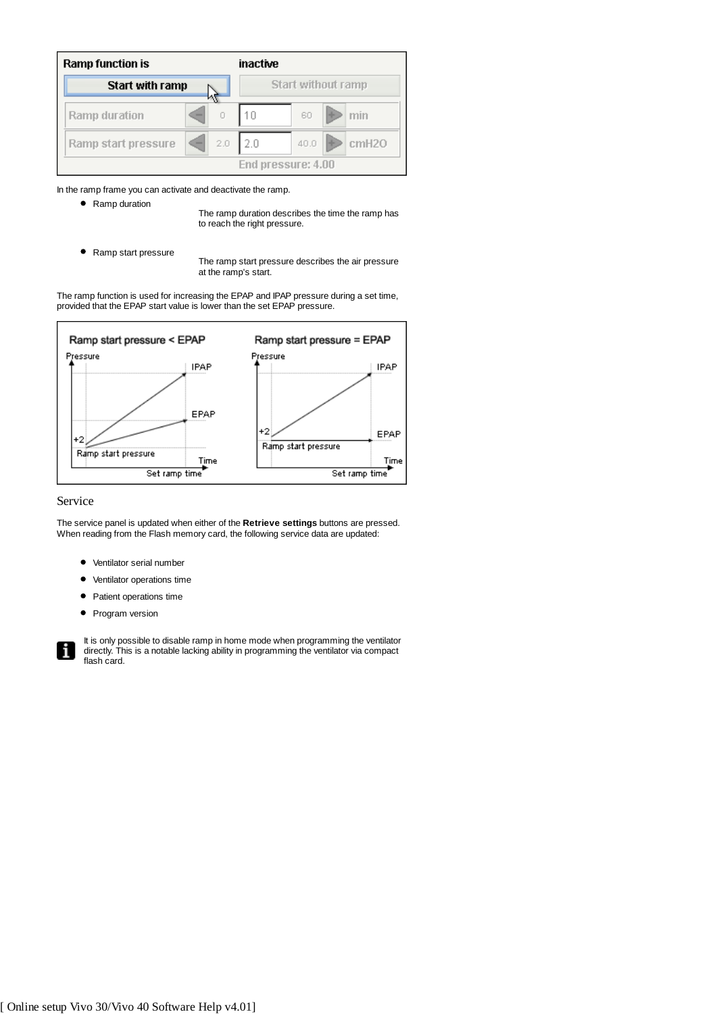| <b>Ramp function is</b> |   |     | inactive           |                    |                   |
|-------------------------|---|-----|--------------------|--------------------|-------------------|
| Start with ramp         |   |     |                    | Start without ramp |                   |
| Ramp duration           | - |     |                    | 60                 | min               |
| Ramp start pressure     | - | 2,0 | 2.0                | 40.0               | cmH <sub>20</sub> |
|                         |   |     | End pressure: 4.00 |                    |                   |

In the ramp frame you can activate and deactivate the ramp.

• Ramp duration

The ramp duration describes the time the ramp has to reach the right pressure.

• Ramp start pressure

The ramp start pressure describes the air pressure at the ramp's start.

The ramp function is used for increasing the EPAP and IPAP pressure during a set time, provided that the EPAP start value is lower than the set EPAP pressure.



#### Service

The service panel is updated when either of the **Retrieve settings** buttons are pressed. When reading from the Flash memory card, the following service data are updated:

- Ventilator serial number
- Ventilator operations time
- Patient operations time
- Program version

It is only possible to disable ramp in home mode when programming the ventilator directly. This is a notable lacking ability in programming the ventilator via compact flash card.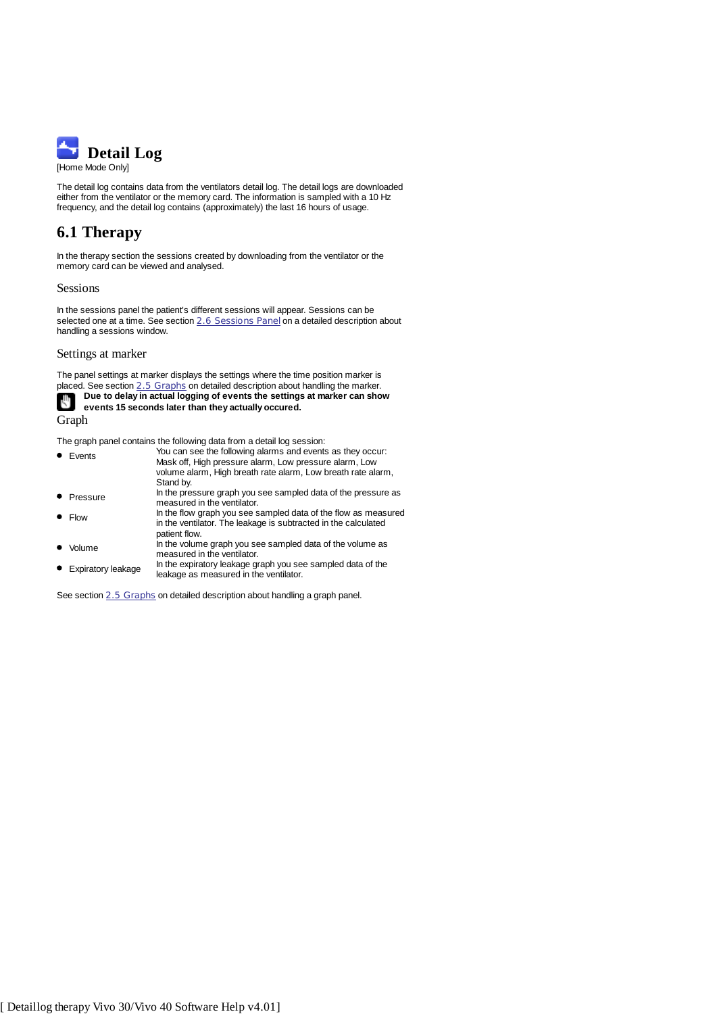

The detail log contains data from the ventilators detail log. The detail logs are downloaded either from the ventilator or the memory card. The information is sampled with a 10 Hz frequency, and the detail log contains (approximately) the last 16 hours of usage.

# **6.1 Therapy**

In the therapy section the sessions created by downloading from the ventilator or the memory card can be viewed and analysed.

#### Sessions

In the sessions panel the patient's different sessions will appear. Sessions can be selected one at a time. See section 2.6 Sessions Panel on a detailed description about handling a sessions window.

#### Settings at marker

The panel settings at marker displays the settings where the time position marker is placed. See section 2.5 Graphs on detailed description about handling the marker. **Due to delay in actual logging of events the settings at marker can show**

۳ŋ **events 15 seconds later than they actually occured.**

Graph

The graph panel contains the following data from a detail log session:

| $\bullet$ Events | You can see the following alarms and events as they occur:<br>Mask off, High pressure alarm, Low pressure alarm, Low                              |
|------------------|---------------------------------------------------------------------------------------------------------------------------------------------------|
|                  | volume alarm, High breath rate alarm, Low breath rate alarm,                                                                                      |
|                  | Stand by.                                                                                                                                         |
| • Pressure       | In the pressure graph you see sampled data of the pressure as<br>measured in the ventilator.                                                      |
| $\bullet$ Flow   | In the flow graph you see sampled data of the flow as measured<br>in the ventilator. The leakage is subtracted in the calculated<br>patient flow. |
| Volume           | In the volume graph you see sampled data of the volume as<br>measured in the ventilator.                                                          |
|                  | In the evoiratory leakage graph you see sampled data of the                                                                                       |

Expiratory leakage ln the expiratory leakage graph you see sampled data of the<br>leakage as measured in the ventilator.

See section 2.5 Graphs on detailed description about handling a graph panel.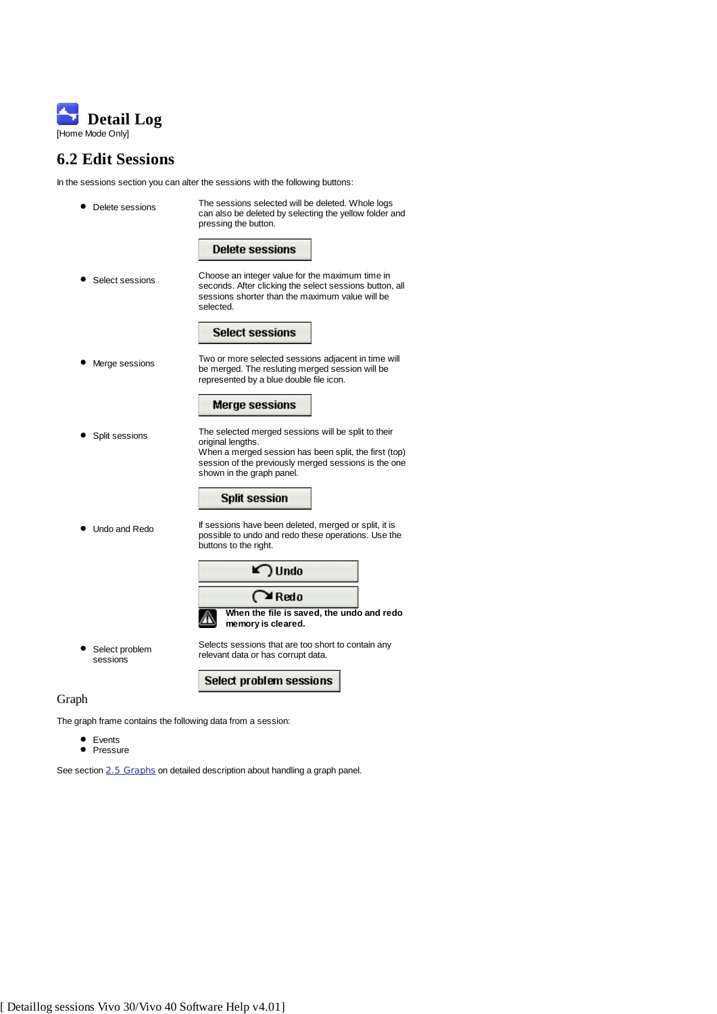

# **6.2 Edit Sessions**

In the sessions section you can alter the sessions with the following buttons:

| Delete sessions            | The sessions selected will be deleted. Whole logs<br>can also be deleted by selecting the yellow folder and<br>pressing the button.                                                                                    |
|----------------------------|------------------------------------------------------------------------------------------------------------------------------------------------------------------------------------------------------------------------|
|                            | <b>Delete sessions</b>                                                                                                                                                                                                 |
| Select sessions            | Choose an integer value for the maximum time in<br>seconds. After clicking the select sessions button, all<br>sessions shorter than the maximum value will be<br>selected.                                             |
|                            | <b>Select sessions</b>                                                                                                                                                                                                 |
| Merge sessions             | Two or more selected sessions adjacent in time will<br>be merged. The resluting merged session will be<br>represented by a blue double file icon.                                                                      |
|                            | <b>Merge sessions</b>                                                                                                                                                                                                  |
| Split sessions             | The selected merged sessions will be split to their<br>original lengths.<br>When a merged session has been split, the first (top)<br>session of the previously merged sessions is the one<br>shown in the graph panel. |
|                            | <b>Split session</b>                                                                                                                                                                                                   |
| Undo and Redo              | If sessions have been deleted, merged or split, it is<br>possible to undo and redo these operations. Use the<br>buttons to the right.                                                                                  |
|                            | ) Undo                                                                                                                                                                                                                 |
|                            | $\bigcap$ Redo                                                                                                                                                                                                         |
|                            | When the file is saved, the undo and redo<br>memory is cleared.                                                                                                                                                        |
| Select problem<br>sessions | Selects sessions that are too short to contain any<br>relevant data or has corrupt data.                                                                                                                               |
|                            | Select problem sessions                                                                                                                                                                                                |
| Graph                      |                                                                                                                                                                                                                        |

The graph frame contains the following data from a session:

- Events
- Pressure

See section 2.5 Graphs on detailed description about handling a graph panel.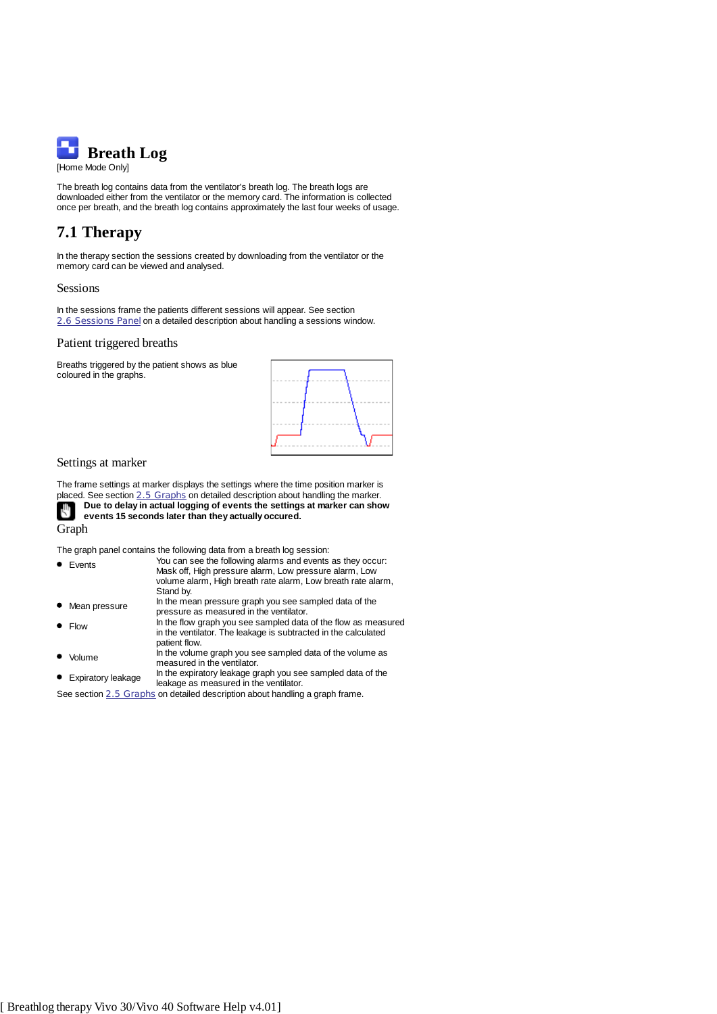

The breath log contains data from the ventilator's breath log. The breath logs are downloaded either from the ventilator or the memory card. The information is collected once per breath, and the breath log contains approximately the last four weeks of usage.

# **7.1 Therapy**

In the therapy section the sessions created by downloading from the ventilator or the memory card can be viewed and analysed.

#### Sessions

In the sessions frame the patients different sessions will appear. See section 2.6 Sessions Panel on a detailed description about handling a sessions window.

#### Patient triggered breaths

Breaths triggered by the patient shows as blue coloured in the graphs.



#### Settings at marker

The frame settings at marker displays the settings where the time position marker is placed. See section 2.5 Graphs on detailed description about handling the marker. **Due to delay in actual logging of events the settings at marker can show** сΨ **events 15 seconds later than they actually occured.**

Graph

The graph panel contains the following data from a breath log session:

| $\bullet$ Events     | You can see the following alarms and events as they occur:<br>Mask off, High pressure alarm, Low pressure alarm, Low                              |
|----------------------|---------------------------------------------------------------------------------------------------------------------------------------------------|
|                      | volume alarm, High breath rate alarm, Low breath rate alarm,<br>Stand by.                                                                         |
| • Mean pressure      | In the mean pressure graph you see sampled data of the<br>pressure as measured in the ventilator.                                                 |
| $\bullet$ Flow       | In the flow graph you see sampled data of the flow as measured<br>in the ventilator. The leakage is subtracted in the calculated<br>patient flow. |
| • Volume             | In the volume graph you see sampled data of the volume as<br>measured in the ventilator.                                                          |
| • Expiratory leakage | In the expiratory leakage graph you see sampled data of the<br>leakage as measured in the ventilator.                                             |

See section 2.5 Graphs on detailed description about handling a graph frame.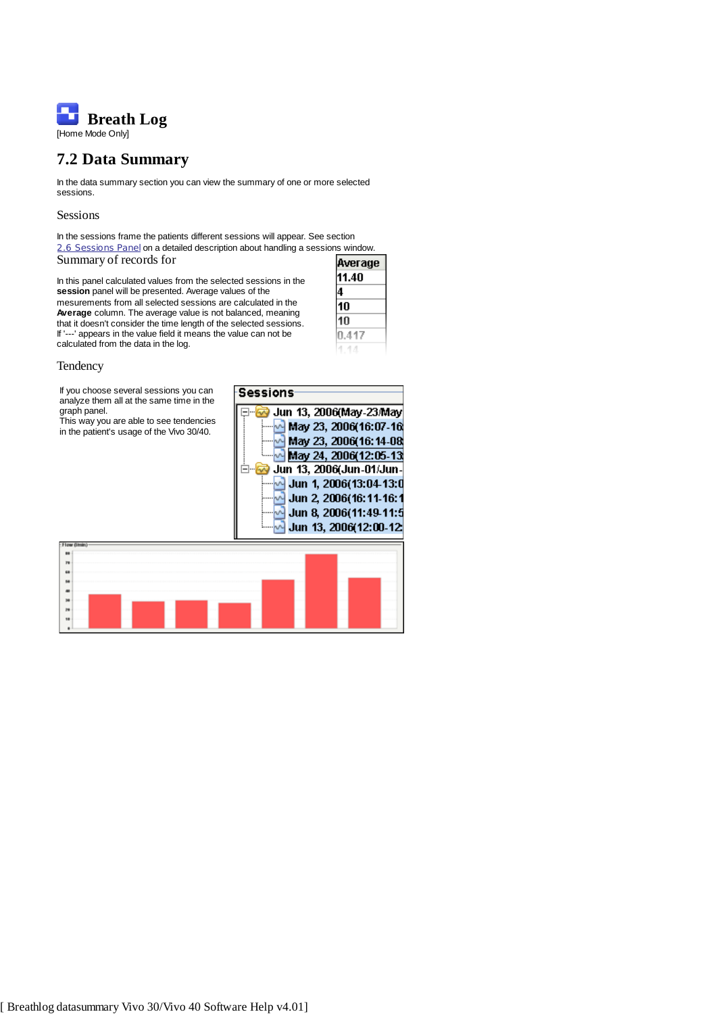

## **7.2 Data Summary**

In the data summary section you can view the summary of one or more selected sessions.

#### Sessions

In the sessions frame the patients different sessions will appear. See section 2.6 Sessions Panel on a detailed description about handling a sessions window. Summary of records for

In this panel calculated values from the selected sessions in the **session** panel will be presented. Average values of the mesurements from all selected sessions are calculated in the **Average** column. The average value is not balanced, meaning that it doesn't consider the time length of the selected sessions. If '---' appears in the value field it means the value can not be calculated from the data in the log.



#### **Tendency**

If you choose several sessions you ca analyze them all at the same time in the graph panel.

This way you are able to see tendencies in the patient's usage of the Vivo 30/40.

| 'n<br>۱ė | Sessions                                              |
|----------|-------------------------------------------------------|
|          | Jun 13, 2006(May-23/May)                              |
| es<br>). | $\sim$ May 23, 2006(16:07-16)                         |
|          | May 23, 2006(16:14-08<br>$\sim$ May 24, 2006(12:05-13 |
|          | Jun 13, 2006(Jun-01/Jun-                              |
|          | Jun 1, 2006(13:04-13:0                                |
|          | Jun 2, 2006(16:11-16:1                                |
|          | Jun 8, 2006(11:49-11:5                                |
|          | Jun 13, 2006(12:00-12                                 |
|          |                                                       |

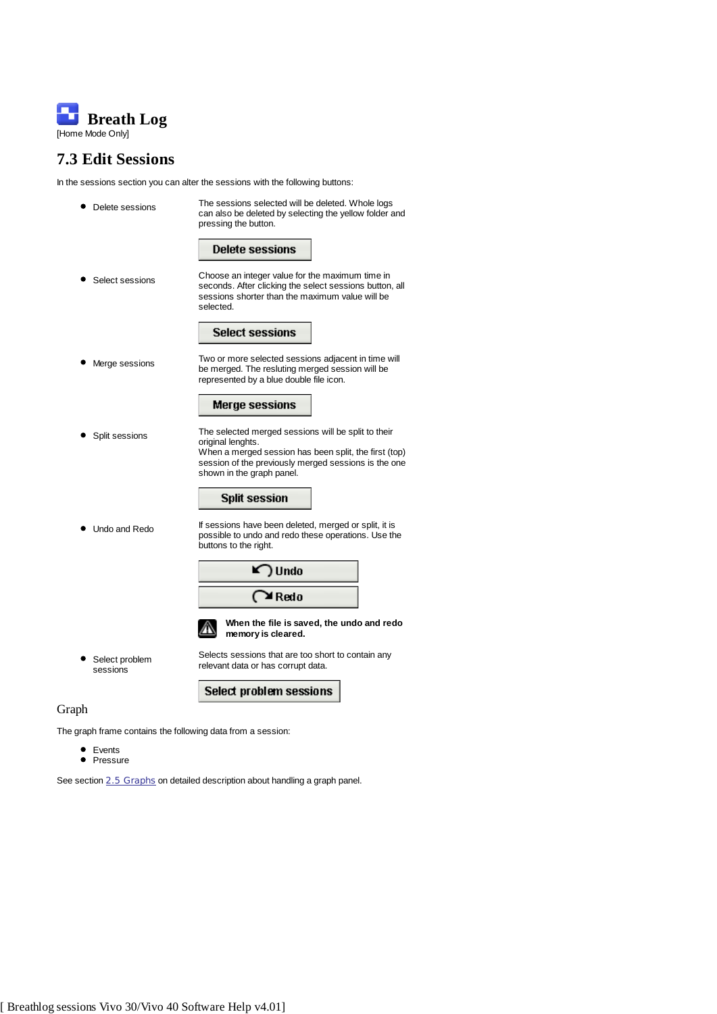

# **7.3 Edit Sessions**

In the sessions section you can alter the sessions with the following buttons:

|       | Delete sessions            | The sessions selected will be deleted. Whole logs<br>can also be deleted by selecting the yellow folder and<br>pressing the button.                                                                                    |
|-------|----------------------------|------------------------------------------------------------------------------------------------------------------------------------------------------------------------------------------------------------------------|
|       |                            | <b>Delete sessions</b>                                                                                                                                                                                                 |
|       | Select sessions            | Choose an integer value for the maximum time in<br>seconds. After clicking the select sessions button, all<br>sessions shorter than the maximum value will be<br>selected.                                             |
|       |                            | <b>Select sessions</b>                                                                                                                                                                                                 |
|       | Merge sessions             | Two or more selected sessions adjacent in time will<br>be merged. The resluting merged session will be<br>represented by a blue double file icon.                                                                      |
|       |                            | <b>Merge sessions</b>                                                                                                                                                                                                  |
|       | Split sessions             | The selected merged sessions will be split to their<br>original lenghts.<br>When a merged session has been split, the first (top)<br>session of the previously merged sessions is the one<br>shown in the graph panel. |
|       |                            | <b>Split session</b>                                                                                                                                                                                                   |
|       | Undo and Redo              | If sessions have been deleted, merged or split, it is<br>possible to undo and redo these operations. Use the<br>buttons to the right.                                                                                  |
|       |                            | ) Undo                                                                                                                                                                                                                 |
|       |                            | $\bigcap$ Redo                                                                                                                                                                                                         |
|       |                            | When the file is saved, the undo and redo<br>memory is cleared.                                                                                                                                                        |
|       | Select problem<br>sessions | Selects sessions that are too short to contain any<br>relevant data or has corrupt data.                                                                                                                               |
|       |                            | Select problem sessions                                                                                                                                                                                                |
| Graph |                            |                                                                                                                                                                                                                        |

The graph frame contains the following data from a session:

Events Pressure

See section 2.5 Graphs on detailed description about handling a graph panel.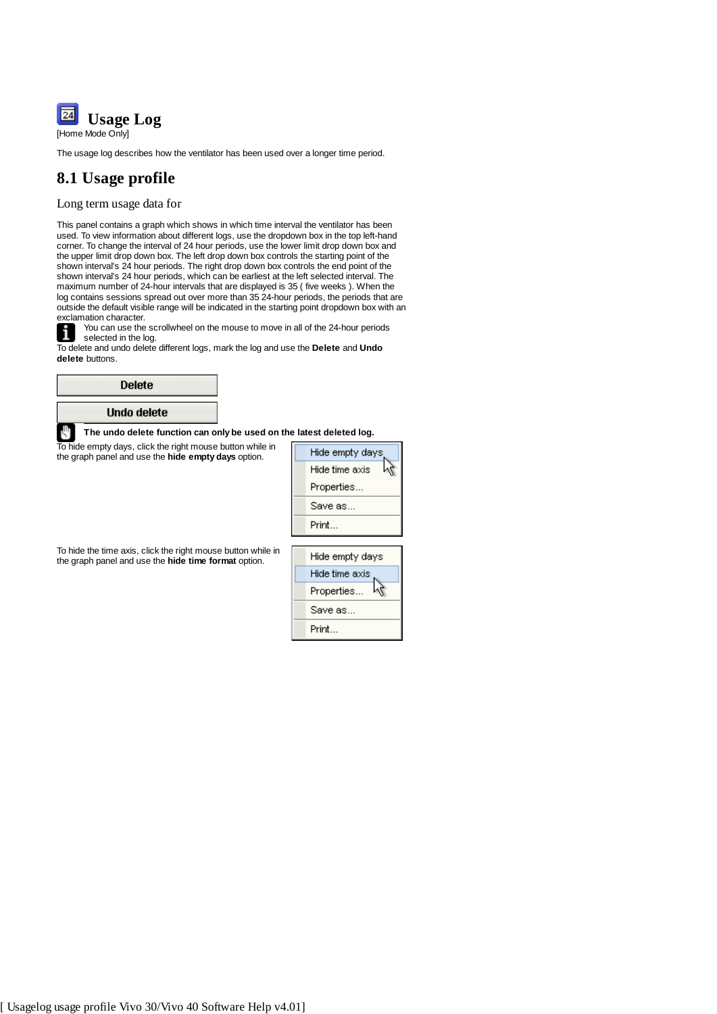

The usage log describes how the ventilator has been used over a longer time period.

## **8.1 Usage profile**

## Long term usage data for

This panel contains a graph which shows in which time interval the ventilator has been used. To view information about different logs, use the dropdown box in the top left-hand corner. To change the interval of 24 hour periods, use the lower limit drop down box and the upper limit drop down box. The left drop down box controls the starting point of the shown interval's 24 hour periods. The right drop down box controls the end point of the shown interval's 24 hour periods, which can be earliest at the left selected interval. The maximum number of 24-hour intervals that are displayed is 35 ( five weeks ). When the log contains sessions spread out over more than 35 24-hour periods, the periods that are outside the default visible range will be indicated in the starting point dropdown box with an exclamation character.

You can use the scrollwheel on the mouse to move in all of the 24-hour periods selected in the log.

To delete and undo delete different logs, mark the log and use the **Delete** and **Undo delete** buttons.

| <b>Delete</b>                                                        |                      |
|----------------------------------------------------------------------|----------------------|
| Undo delete                                                          |                      |
| The undo delete function can only be used on the latest deleted log. |                      |
| To hide empty days, click the right mouse button while in            | بمام براسيديم مامثلا |

the graph panel and use the **hide empty days** option.

Hide empty days Hide time axis ۲Ļ Properties... Save as... Print...

To hide the time axis, click the right mouse button while in the graph panel and use the **hide time format** option.

Hide empty days Hide time axis Properties... M Save as... Print...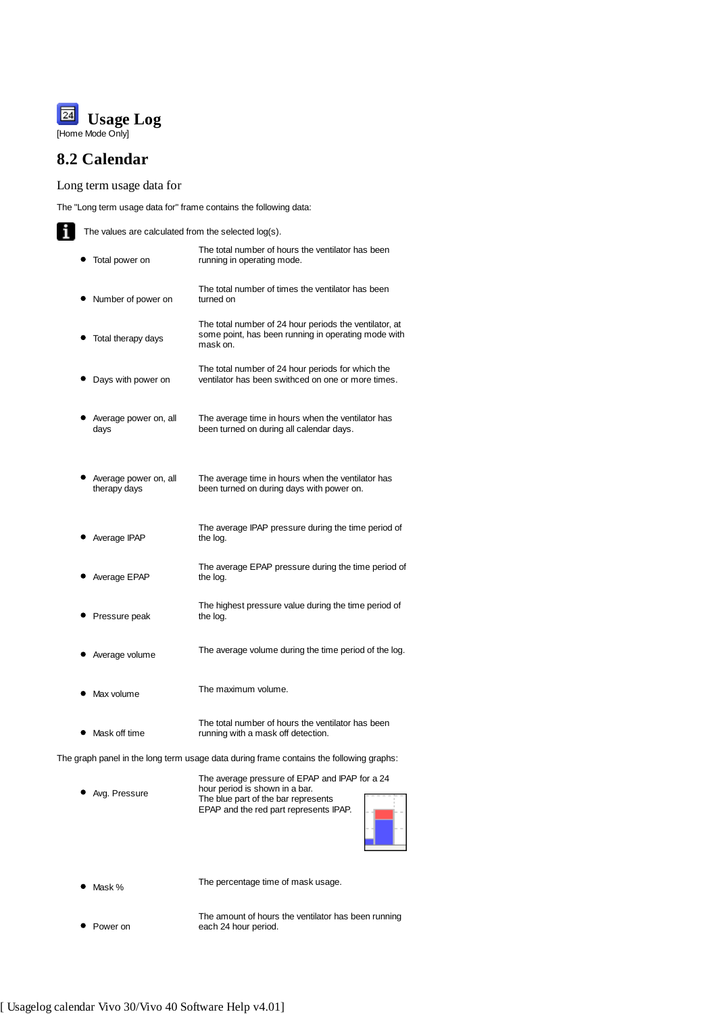

# **8.2 Calendar**

Long term usage data for

The "Long term usage data for" frame contains the following data:

 $\mathbf{T}$  The values are calculated from the selected log(s).

| Total power on                        | The total number of hours the ventilator has been<br>running in operating mode.                                           |
|---------------------------------------|---------------------------------------------------------------------------------------------------------------------------|
| Number of power on                    | The total number of times the ventilator has been<br>turned on                                                            |
| Total therapy days                    | The total number of 24 hour periods the ventilator, at<br>some point, has been running in operating mode with<br>mask on. |
| Days with power on                    | The total number of 24 hour periods for which the<br>ventilator has been swithced on one or more times.                   |
| Average power on, all<br>days         | The average time in hours when the ventilator has<br>been turned on during all calendar days.                             |
| Average power on, all<br>therapy days | The average time in hours when the ventilator has<br>been turned on during days with power on.                            |
| Average IPAP                          | The average IPAP pressure during the time period of<br>the log.                                                           |
| Average EPAP                          | The average EPAP pressure during the time period of<br>the log.                                                           |
| Pressure peak                         | The highest pressure value during the time period of<br>the log.                                                          |
| Average volume                        | The average volume during the time period of the log.                                                                     |
| Max volume                            | The maximum volume.                                                                                                       |
|                                       | The total number of hours the ventilator has been                                                                         |

The graph panel in the long term usage data during frame contains the following graphs:

Avg. Pressure The average pressure of EPAP and IPAP for a 24 hour period is shown in a bar. The blue part of the bar represents EPAP and the red part represents IPAP.

running with a mask off detection.



• Mask % The percentage time of mask usage.

• Power on The amount of hours the ventilator has been running each 24 hour period.

• Mask off time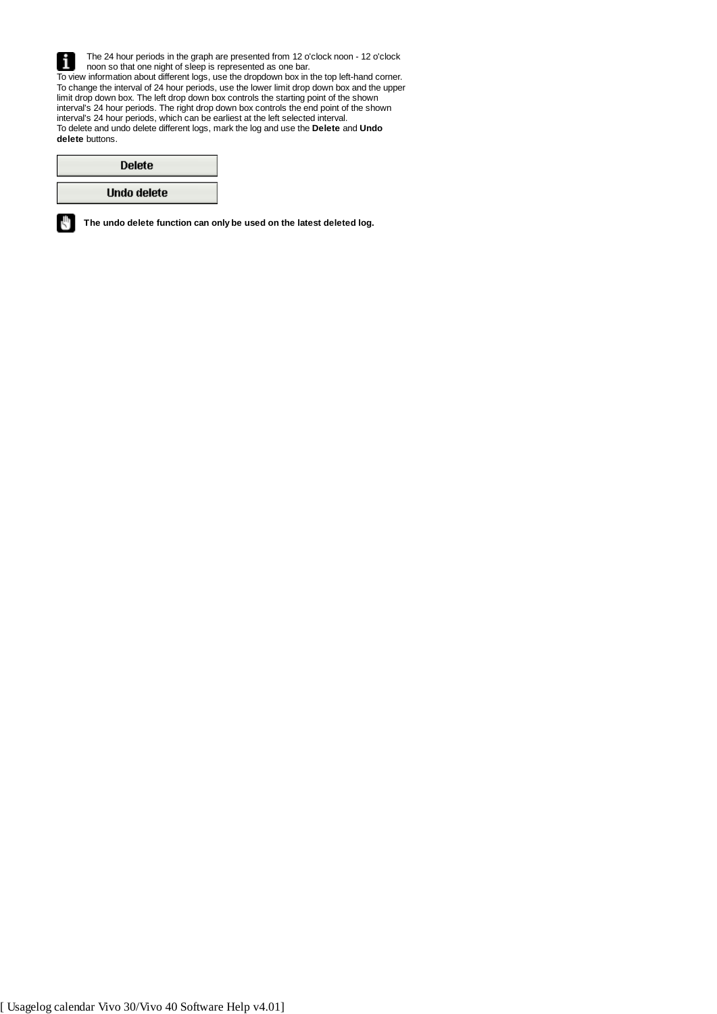The 24 hour periods in the graph are presented from 12 o'clock noon - 12 o'clock i noon so that one night of sleep is represented as one bar. To view information about different logs, use the dropdown box in the top left-hand corner. To change the interval of 24 hour periods, use the lower limit drop down box and the upper limit drop down box. The left drop down box controls the starting point of the shown interval's 24 hour periods. The right drop down box controls the end point of the shown interval's 24 hour periods, which can be earliest at the left selected interval. To delete and undo delete different logs, mark the log and use the **Delete** and **Undo delete** buttons.

| <b>Delete</b> |
|---------------|
| Undo delete   |

rΨ

**The undo delete function can only be used on the latest deleted log.**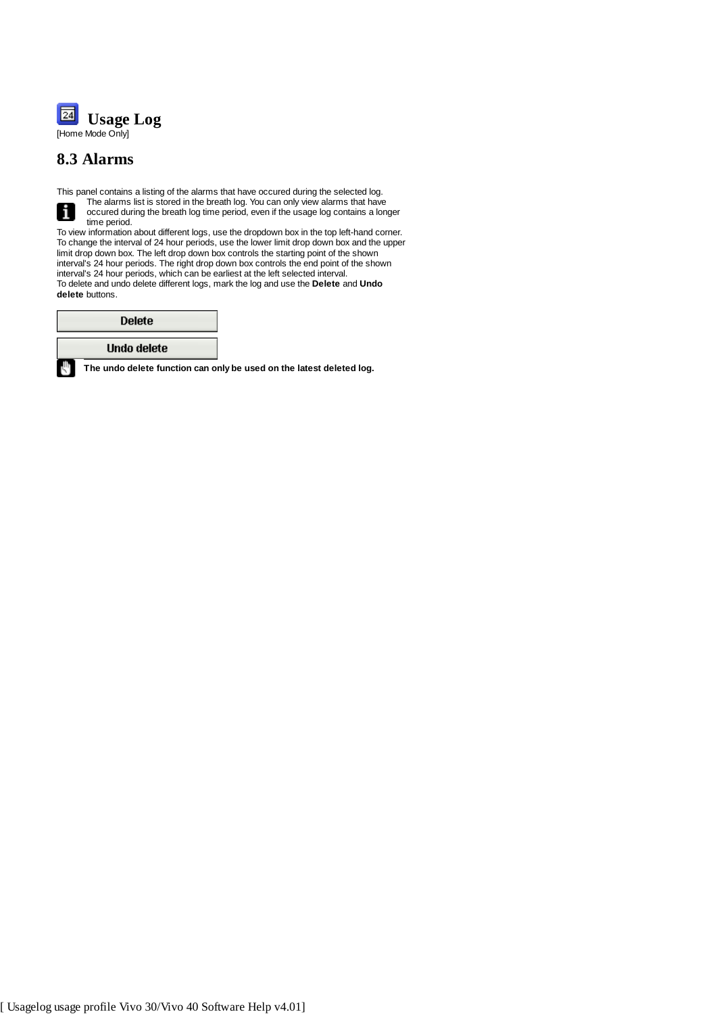

## **8.3 Alarms**

L

rψ

This panel contains a listing of the alarms that have occured during the selected log. The alarms list is stored in the breath log. You can only view alarms that have i occured during the breath log time period, even if the usage log contains a longer time period.

To view information about different logs, use the dropdown box in the top left-hand corner. To change the interval of 24 hour periods, use the lower limit drop down box and the upper limit drop down box. The left drop down box controls the starting point of the shown interval's 24 hour periods. The right drop down box controls the end point of the shown interval's 24 hour periods, which can be earliest at the left selected interval. To delete and undo delete different logs, mark the log and use the **Delete** and **Undo delete** buttons.

| <b>Delete</b> |  |
|---------------|--|
| Undo delete   |  |

**The undo delete function can only be used on the latest deleted log.**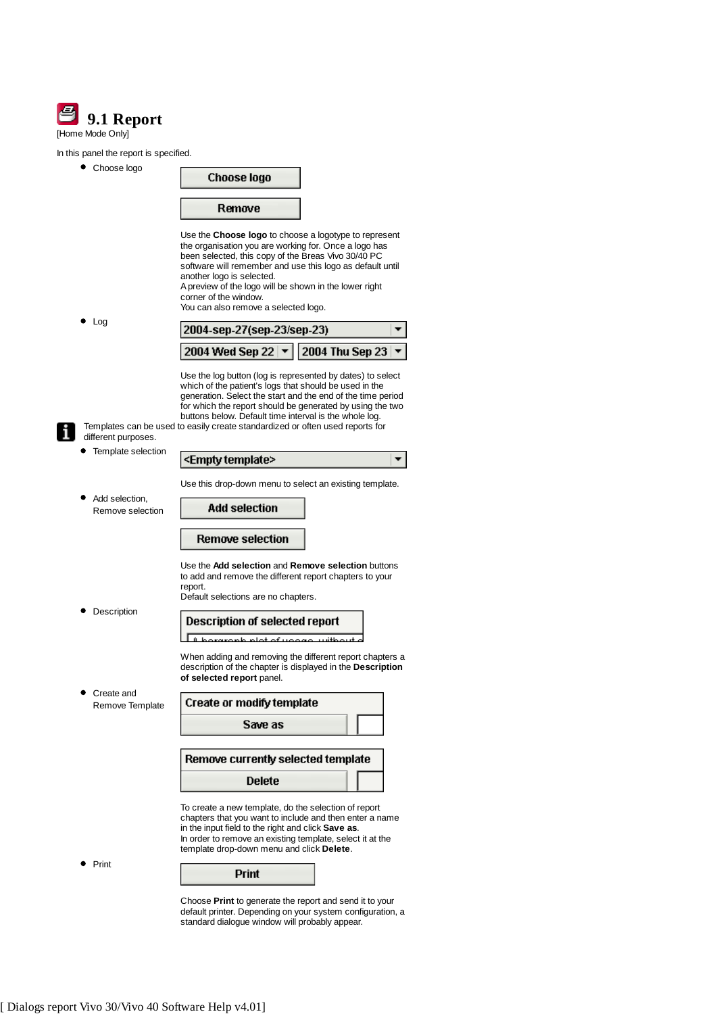|                  | 9.1 Report |
|------------------|------------|
| [Home Mode Only] |            |

## In this panel the report is specified.

| in this panel the report is specified.    |                                                                                                                                                                                                                                                                                                                                                                                             |                        |
|-------------------------------------------|---------------------------------------------------------------------------------------------------------------------------------------------------------------------------------------------------------------------------------------------------------------------------------------------------------------------------------------------------------------------------------------------|------------------------|
| Choose logo                               | Choose logo                                                                                                                                                                                                                                                                                                                                                                                 |                        |
|                                           | Remove                                                                                                                                                                                                                                                                                                                                                                                      |                        |
|                                           | Use the Choose logo to choose a logotype to represent<br>the organisation you are working for. Once a logo has<br>been selected, this copy of the Breas Vivo 30/40 PC<br>software will remember and use this logo as default until<br>another logo is selected.<br>A preview of the logo will be shown in the lower right<br>corner of the window.<br>You can also remove a selected logo.  |                        |
| Log                                       | 2004-sep-27(sep-23/sep-23)                                                                                                                                                                                                                                                                                                                                                                  |                        |
|                                           | 2004 Wed Sep 22   $\blacktriangledown$                                                                                                                                                                                                                                                                                                                                                      | <b>2004 Thu Sep 23</b> |
| different purposes.<br>Template selection | Use the log button (log is represented by dates) to select<br>which of the patient's logs that should be used in the<br>generation. Select the start and the end of the time period<br>for which the report should be generated by using the two<br>buttons below. Default time interval is the whole log.<br>Templates can be used to easily create standardized or often used reports for |                        |
|                                           | <empty template=""></empty>                                                                                                                                                                                                                                                                                                                                                                 |                        |
| Add selection.<br>Remove selection        | Use this drop-down menu to select an existing template.<br><b>Add selection</b>                                                                                                                                                                                                                                                                                                             |                        |
|                                           | <b>Remove selection</b>                                                                                                                                                                                                                                                                                                                                                                     |                        |
|                                           | Use the Add selection and Remove selection buttons<br>to add and remove the different report chapters to your<br>report.<br>Default selections are no chapters.                                                                                                                                                                                                                             |                        |
| Description                               | <b>Description of selected report</b>                                                                                                                                                                                                                                                                                                                                                       |                        |
|                                           | When adding and removing the different report chapters a<br>description of the chapter is displayed in the Description<br>of selected report panel.                                                                                                                                                                                                                                         |                        |
| Create and<br>Remove Template             | Create or modify template                                                                                                                                                                                                                                                                                                                                                                   |                        |
|                                           | Save as                                                                                                                                                                                                                                                                                                                                                                                     |                        |
|                                           | Remove currently selected template                                                                                                                                                                                                                                                                                                                                                          |                        |
|                                           | Delete                                                                                                                                                                                                                                                                                                                                                                                      |                        |
|                                           | To create a new template, do the selection of report<br>chapters that you want to include and then enter a name<br>in the input field to the right and click Save as.<br>In order to remove an existing template, select it at the<br>template drop-down menu and click Delete.                                                                                                             |                        |
| Print                                     | Print                                                                                                                                                                                                                                                                                                                                                                                       |                        |
|                                           | Choose Print to generate the report and send it to your<br>default printer. Depending on your system configuration, a<br>standard dialogue window will probably appear.                                                                                                                                                                                                                     |                        |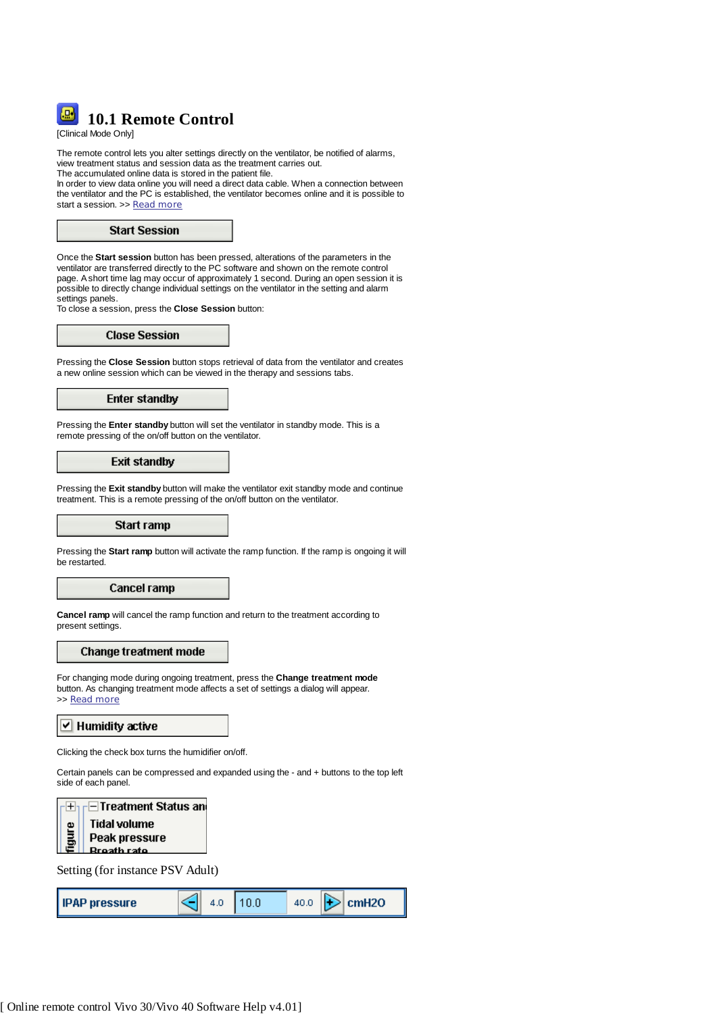

[Clinical Mode Only]

The remote control lets you alter settings directly on the ventilator, be notified of alarms, view treatment status and session data as the treatment carries out. The accumulated online data is stored in the patient file.

In order to view data online you will need a direct data cable. When a connection between the ventilator and the PC is established, the ventilator becomes online and it is possible to start a session. >> Read more



Once the **Start session** button has been pressed, alterations of the parameters in the ventilator are transferred directly to the PC software and shown on the remote control page. A short time lag may occur of approximately 1 second. During an open session it is possible to directly change individual settings on the ventilator in the setting and alarm settings panels.

To close a session, press the **Close Session** button:

**Close Session** 

Pressing the **Close Session** button stops retrieval of data from the ventilator and creates a new online session which can be viewed in the therapy and sessions tabs.

## **Enter standby**

Pressing the **Enter standby** button will set the ventilator in standby mode. This is a remote pressing of the on/off button on the ventilator.

## **Exit standby**

Pressing the **Exit standby** button will make the ventilator exit standby mode and continue treatment. This is a remote pressing of the on/off button on the ventilator.

#### Start ramp

Pressing the **Start ramp** button will activate the ramp function. If the ramp is ongoing it will be restarted.

#### Cancel ramp

**Cancel ramp** will cancel the ramp function and return to the treatment according to present settings.

#### **Change treatment mode**

For changing mode during ongoing treatment, press the **Change treatment mode** button. As changing treatment mode affects a set of settings a dialog will appear. >> Read more

#### $\triangleright$  Humidity active

Clicking the check box turns the humidifier on/off.

Certain panels can be compressed and expanded using the - and + buttons to the top left side of each panel.



Setting (for instance PSV Adult)

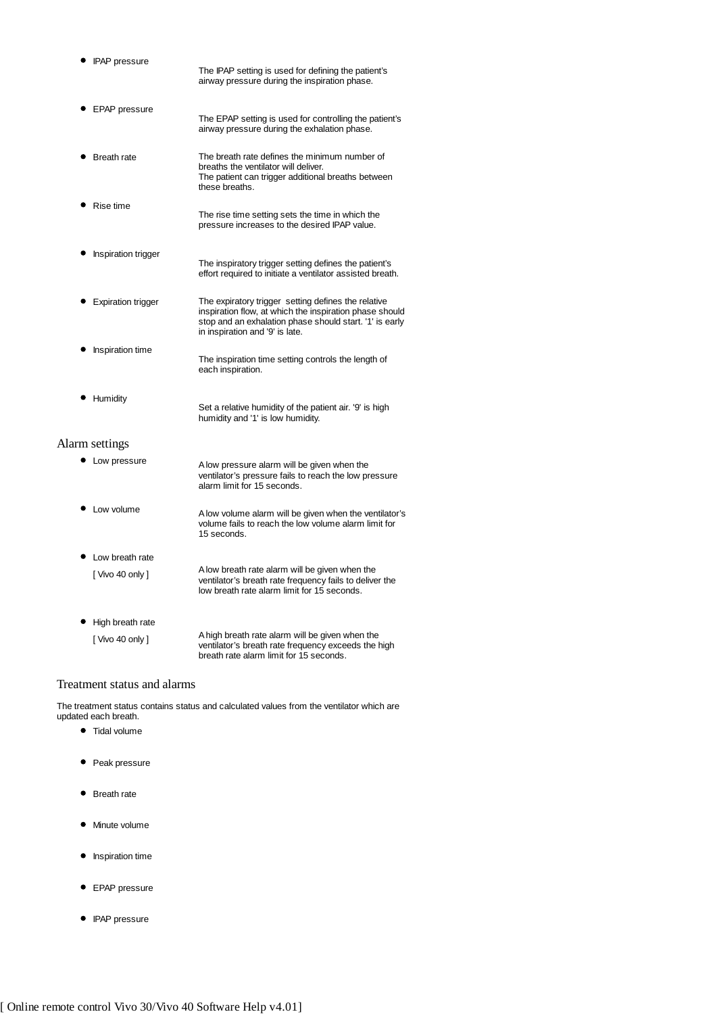| <b>IPAP</b> pressure       | The IPAP setting is used for defining the patient's<br>airway pressure during the inspiration phase.                                                                                                         |
|----------------------------|--------------------------------------------------------------------------------------------------------------------------------------------------------------------------------------------------------------|
| EPAP pressure              | The EPAP setting is used for controlling the patient's<br>airway pressure during the exhalation phase.                                                                                                       |
| <b>Breath rate</b>         | The breath rate defines the minimum number of<br>breaths the ventilator will deliver.<br>The patient can trigger additional breaths between<br>these breaths.                                                |
| Rise time                  | The rise time setting sets the time in which the<br>pressure increases to the desired IPAP value.                                                                                                            |
| <b>Inspiration trigger</b> | The inspiratory trigger setting defines the patient's<br>effort required to initiate a ventilator assisted breath.                                                                                           |
| <b>Expiration trigger</b>  | The expiratory trigger setting defines the relative<br>inspiration flow, at which the inspiration phase should<br>stop and an exhalation phase should start. '1' is early<br>in inspiration and '9' is late. |
| Inspiration time           | The inspiration time setting controls the length of<br>each inspiration.                                                                                                                                     |
| Humidity                   | Set a relative humidity of the patient air. '9' is high<br>humidity and '1' is low humidity.                                                                                                                 |
| Alarm settings             |                                                                                                                                                                                                              |
| Low pressure               | A low pressure alarm will be given when the<br>ventilator's pressure fails to reach the low pressure<br>alarm limit for 15 seconds.                                                                          |
| • Low volume               | A low volume alarm will be given when the ventilator's<br>volume fails to reach the low volume alarm limit for<br>15 seconds.                                                                                |
| Low breath rate            |                                                                                                                                                                                                              |
| [Vivo 40 only]             | A low breath rate alarm will be given when the<br>ventilator's breath rate frequency fails to deliver the<br>low breath rate alarm limit for 15 seconds.                                                     |

| • High breath rate |                                                                                                                                                   |
|--------------------|---------------------------------------------------------------------------------------------------------------------------------------------------|
| I Vivo 40 only 1   | A high breath rate alarm will be given when the<br>ventilator's breath rate frequency exceeds the high<br>breath rate alarm limit for 15 seconds. |

## Treatment status and alarms

The treatment status contains status and calculated values from the ventilator which are updated each breath.

- $\bullet$  Tidal volume
- Peak pressure
- Breath rate
- $\bullet$  Minute volume
- $\bullet$  Inspiration time
- **•** EPAP pressure
- IPAP pressure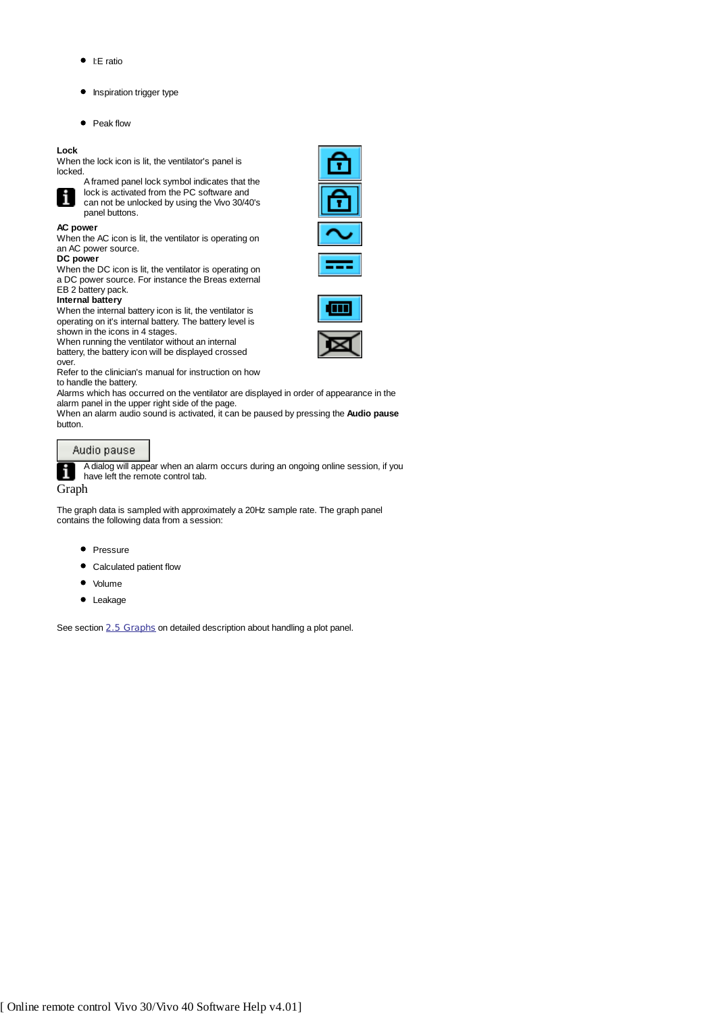- $\bullet$  I:E ratio
- **•** Inspiration trigger type
- Peak flow

panel buttons.

#### **Lock**

When the lock icon is lit, the ventilator's panel is locked.



A framed panel lock symbol indicates that the lock is activated from the PC software and can not be unlocked by using the Vivo 30/40's



**AC power**

When the AC icon is lit, the ventilator is operating on an AC power source.

#### **DC power**

When the DC icon is lit, the ventilator is operating on a DC power source. For instance the Breas external EB 2 battery pack.

#### **Internal battery**

When the internal battery icon is lit, the ventilator is operating on it's internal battery. The battery level is shown in the icons in 4 stages.

When running the ventilator without an internal battery, the battery icon will be displayed crossed over.

Refer to the clinician's manual for instruction on how to handle the battery.

Alarms which has occurred on the ventilator are displayed in order of appearance in the alarm panel in the upper right side of the page.

When an alarm audio sound is activated, it can be paused by pressing the **Audio pause** button.

#### Audio pause

A dialog will appear when an alarm occurs during an ongoing online session, if you have left the remote control tab.

1 Graph

The graph data is sampled with approximately a 20Hz sample rate. The graph panel contains the following data from a session:

- Pressure
- Calculated patient flow
- Volume
- Leakage

See section 2.5 Graphs on detailed description about handling a plot panel.



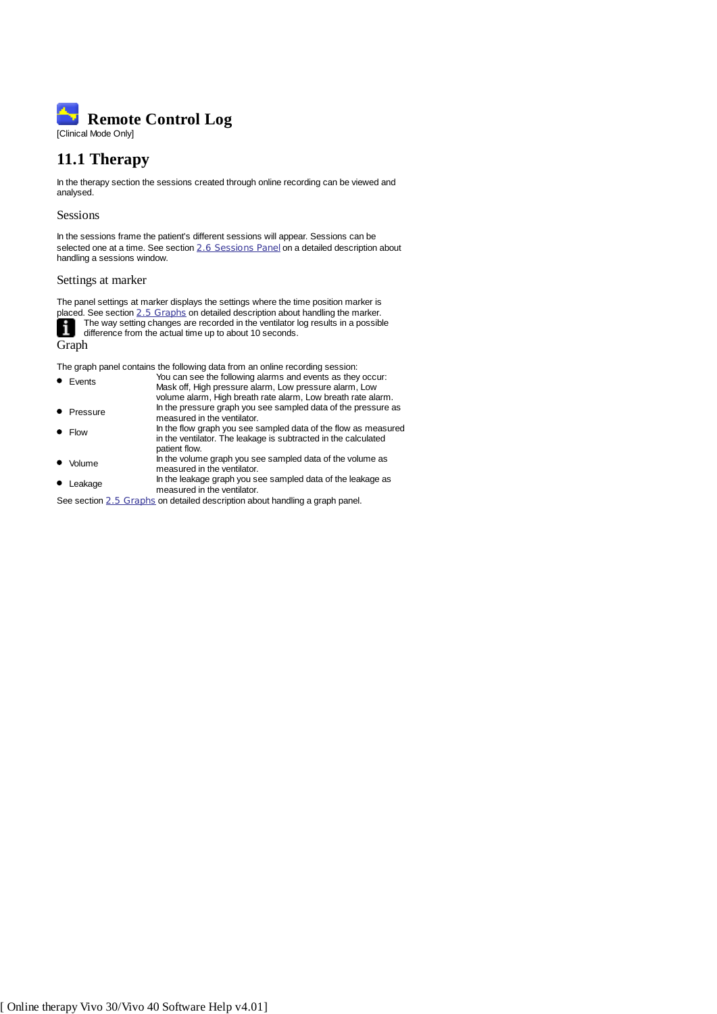

# **11.1 Therapy**

In the therapy section the sessions created through online recording can be viewed and analysed.

#### Sessions

In the sessions frame the patient's different sessions will appear. Sessions can be selected one at a time. See section 2.6 Sessions Panel on a detailed description about handling a sessions window.

## Settings at marker

The panel settings at marker displays the settings where the time position marker is placed. See section 2.5 Graphs on detailed description about handling the marker. The way setting changes are recorded in the ventilator log results in a possible i difference from the actual time up to about 10 seconds.

Graph

The graph panel contains the following data from an online recording session:

- Events You can see the following alarms and events as they occur: Mask off, High pressure alarm, Low pressure alarm, Low volume alarm, High breath rate alarm, Low breath rate alarm. • Pressure In the pressure graph you see sampled data of the pressure as measured in the ventilator. Flow In the flow graph you see sampled data of the flow as measured in the ventilator. The leakage is subtracted in the calculated patient flow.
- Volume In the volume graph you see sampled data of the volume as measured in the ventilator. • Leakage In the leakage graph you see sampled data of the leakage as
- measured in the ventilator.
- See section 2.5 Graphs on detailed description about handling a graph panel.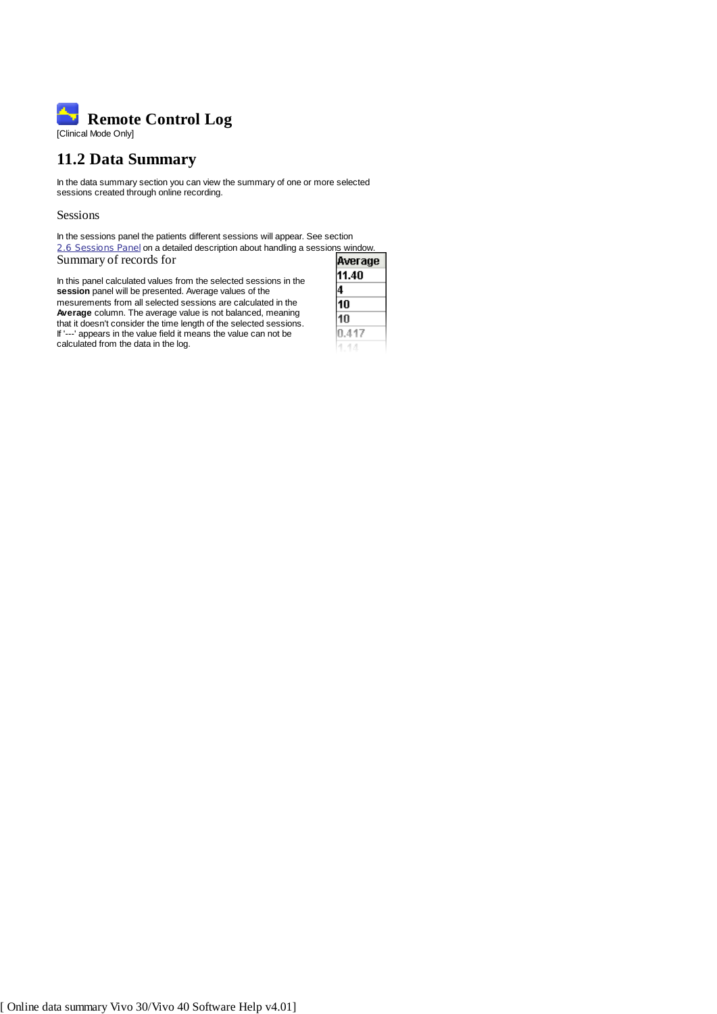

# **11.2 Data Summary**

In the data summary section you can view the summary of one or more selected sessions created through online recording.

Sessions

In the sessions panel the patients different sessions will appear. See section 2.6 Sessions Panel on a detailed description about handling a sessions window. Summary of records for

In this panel calculated values from the selected sessions in the **session** panel will be presented. Average values of the mesurements from all selected sessions are calculated in the **Average** column. The average value is not balanced, meaning that it doesn't consider the time length of the selected sessions. If '---' appears in the value field it means the value can not be calculated from the data in the log.

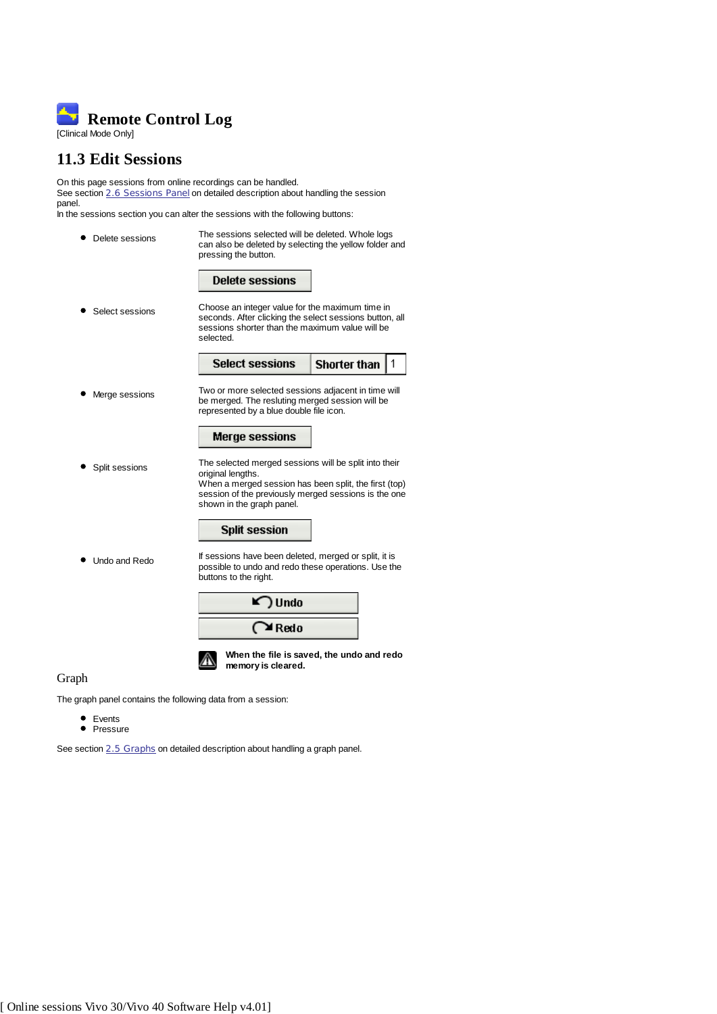

## **11.3 Edit Sessions**

On this page sessions from online recordings can be handled. See section 2.6 Sessions Panel on detailed description about handling the session panel.

In the sessions section you can alter the sessions with the following buttons:



## Graph

The graph panel contains the following data from a session:

- Events
- Pressure

See section 2.5 Graphs on detailed description about handling a graph panel.